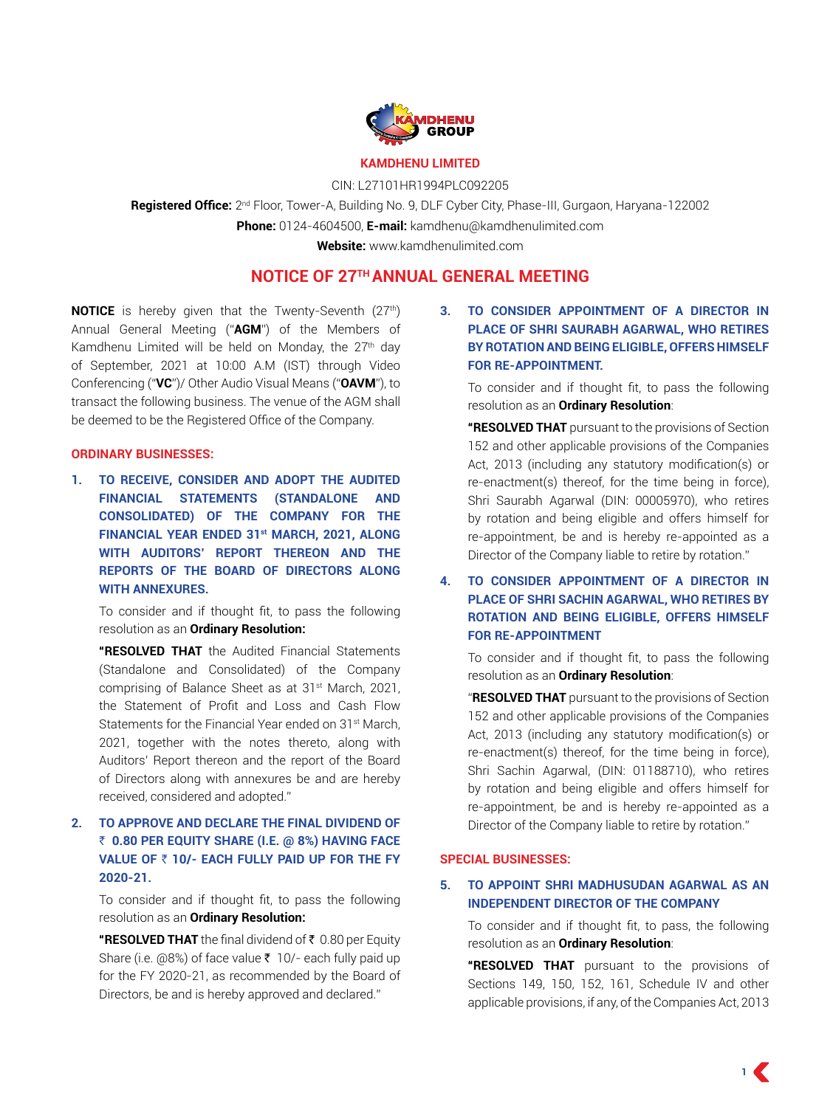

#### **KAMDHENU LIMITED**

CIN: L27101HR1994PLC092205

**Registered Office:** 2nd Floor, Tower-A, Building No. 9, DLF Cyber City, Phase-III, Gurgaon, Haryana-122002 **Phone:** 0124-4604500, **E-mail:** kamdhenu@kamdhenulimited.com **Website:** www.kamdhenulimited.com

**NOTICE OF 27TH ANNUAL GENERAL MEETING**

**NOTICE** is hereby given that the Twenty-Seventh (27<sup>th</sup>) Annual General Meeting ("**AGM**") of the Members of Kamdhenu Limited will be held on Monday, the 27<sup>th</sup> day of September, 2021 at 10:00 A.M (IST) through Video Conferencing ("**VC**")/ Other Audio Visual Means ("**OAVM**"), to transact the following business. The venue of the AGM shall be deemed to be the Registered Office of the Company.

#### **ORDINARY BUSINESSES:**

**1. TO RECEIVE, CONSIDER AND ADOPT THE AUDITED FINANCIAL STATEMENTS (STANDALONE AND CONSOLIDATED) OF THE COMPANY FOR THE FINANCIAL YEAR ENDED 31st MARCH, 2021, ALONG WITH AUDITORS' REPORT THEREON AND THE REPORTS OF THE BOARD OF DIRECTORS ALONG WITH ANNEXURES.**

To consider and if thought fit, to pass the following resolution as an **Ordinary Resolution:**

**"RESOLVED THAT** the Audited Financial Statements (Standalone and Consolidated) of the Company comprising of Balance Sheet as at 31<sup>st</sup> March, 2021, the Statement of Profit and Loss and Cash Flow Statements for the Financial Year ended on 31<sup>st</sup> March, 2021, together with the notes thereto, along with Auditors' Report thereon and the report of the Board of Directors along with annexures be and are hereby received, considered and adopted."

# **2. TO APPROVE AND DECLARE THE FINAL DIVIDEND OF**  ` **0.80 PER EQUITY SHARE (I.E. @ 8%) HAVING FACE VALUE OF ₹ 10/- EACH FULLY PAID UP FOR THE FY 2020-21.**

To consider and if thought fit, to pass the following resolution as an **Ordinary Resolution:**

**"RESOLVED THAT** the final dividend of ₹ 0.80 per Equity Share (i.e.  $(0.8\%)$  of face value  $\bar{\tau}$  10/- each fully paid up for the FY 2020-21, as recommended by the Board of Directors, be and is hereby approved and declared."

**3. TO CONSIDER APPOINTMENT OF A DIRECTOR IN PLACE OF Shri SAURABH AGARWAL, WHO RETIRES BY ROTATION AND BEING ELIGIBLE, OFFERS HIMSELF FOR RE-APPOINTMENT.**

To consider and if thought fit, to pass the following resolution as an **Ordinary Resolution**:

**"RESOLVED THAT** pursuant to the provisions of Section 152 and other applicable provisions of the Companies Act, 2013 (including any statutory modification(s) or re-enactment(s) thereof, for the time being in force), Shri Saurabh Agarwal (DIN: 00005970), who retires by rotation and being eligible and offers himself for re-appointment, be and is hereby re-appointed as a Director of the Company liable to retire by rotation."

**4. TO CONSIDER APPOINTMENT OF A DIRECTOR IN PLACE OF Shri SACHIN AGARWAL, WHO RETIRES BY ROTATION AND BEING ELIGIBLE, OFFERS HIMSELF FOR RE-APPOINTMENT**

To consider and if thought fit, to pass the following resolution as an **Ordinary Resolution**:

"**RESOLVED THAT** pursuant to the provisions of Section 152 and other applicable provisions of the Companies Act, 2013 (including any statutory modification(s) or re-enactment(s) thereof, for the time being in force), Shri Sachin Agarwal, (DIN: 01188710), who retires by rotation and being eligible and offers himself for re-appointment, be and is hereby re-appointed as a Director of the Company liable to retire by rotation."

#### **SPECIAL BUSINESSES:**

### **5. TO APPOINT Shri MADHUSUDAN AGARWAL AS AN INDEPENDENT DIRECTOR OF THE COMPANY**

To consider and if thought fit, to pass, the following resolution as an **Ordinary Resolution**:

**"RESOLVED THAT** pursuant to the provisions of Sections 149, 150, 152, 161, Schedule IV and other applicable provisions, if any, of the Companies Act, 2013

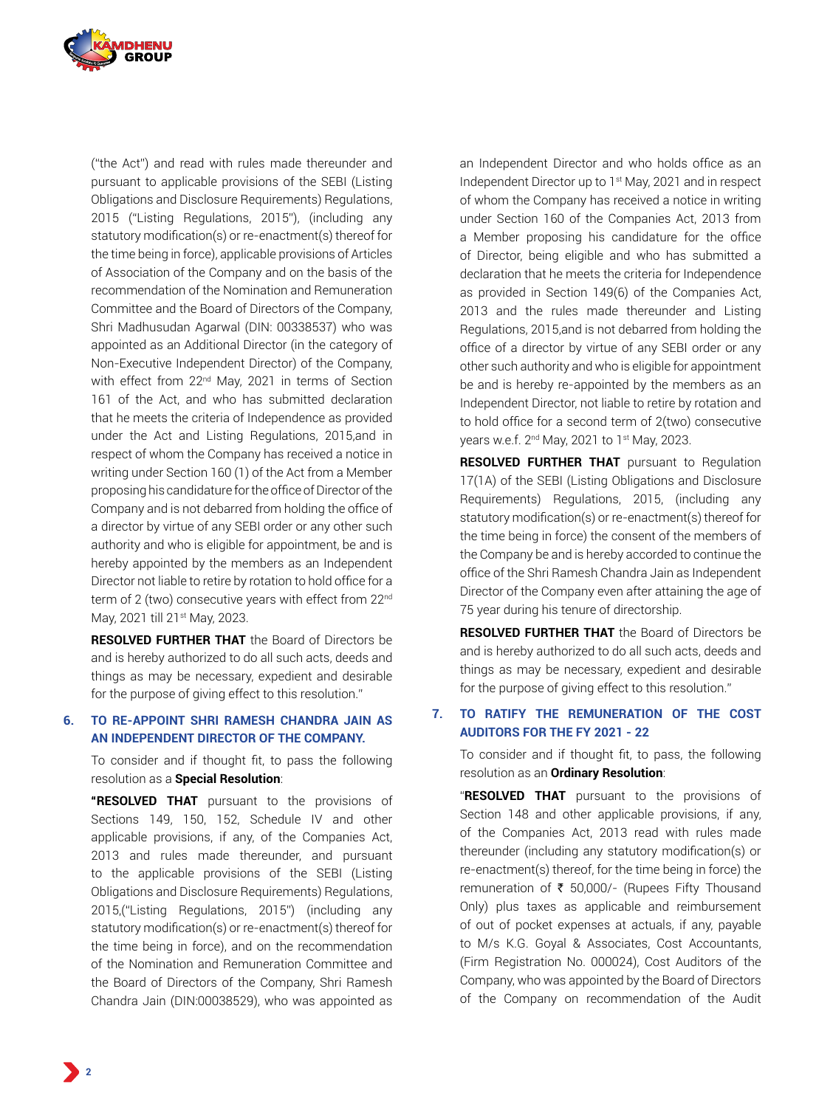

("the Act") and read with rules made thereunder and pursuant to applicable provisions of the SEBI (Listing Obligations and Disclosure Requirements) Regulations, 2015 ("Listing Regulations, 2015"), (including any statutory modification(s) or re-enactment(s) thereof for the time being in force), applicable provisions of Articles of Association of the Company and on the basis of the recommendation of the Nomination and Remuneration Committee and the Board of Directors of the Company, Shri Madhusudan Agarwal (DIN: 00338537) who was appointed as an Additional Director (in the category of Non-Executive Independent Director) of the Company, with effect from 22<sup>nd</sup> May, 2021 in terms of Section 161 of the Act, and who has submitted declaration that he meets the criteria of Independence as provided under the Act and Listing Regulations, 2015,and in respect of whom the Company has received a notice in writing under Section 160 (1) of the Act from a Member proposing his candidature for the office of Director of the Company and is not debarred from holding the office of a director by virtue of any SEBI order or any other such authority and who is eligible for appointment, be and is hereby appointed by the members as an Independent Director not liable to retire by rotation to hold office for a term of 2 (two) consecutive years with effect from 22<sup>nd</sup> May, 2021 till 21st May, 2023.

**RESOLVED FURTHER THAT** the Board of Directors be and is hereby authorized to do all such acts, deeds and things as may be necessary, expedient and desirable for the purpose of giving effect to this resolution."

#### **6. TO RE-APPOINT SHRI RAMESH CHANDRA JAIN AS AN INDEPENDENT DIRECTOR OF THE COMPANY.**

To consider and if thought fit, to pass the following resolution as a **Special Resolution**:

**"RESOLVED THAT** pursuant to the provisions of Sections 149, 150, 152, Schedule IV and other applicable provisions, if any, of the Companies Act, 2013 and rules made thereunder, and pursuant to the applicable provisions of the SEBI (Listing Obligations and Disclosure Requirements) Regulations, 2015,("Listing Regulations, 2015") (including any statutory modification(s) or re-enactment(s) thereof for the time being in force), and on the recommendation of the Nomination and Remuneration Committee and the Board of Directors of the Company, Shri Ramesh Chandra Jain (DIN:00038529), who was appointed as

an Independent Director and who holds office as an Independent Director up to 1st May, 2021 and in respect of whom the Company has received a notice in writing under Section 160 of the Companies Act, 2013 from a Member proposing his candidature for the office of Director, being eligible and who has submitted a declaration that he meets the criteria for Independence as provided in Section 149(6) of the Companies Act, 2013 and the rules made thereunder and Listing Regulations, 2015,and is not debarred from holding the office of a director by virtue of any SEBI order or any other such authority and who is eligible for appointment be and is hereby re-appointed by the members as an Independent Director, not liable to retire by rotation and to hold office for a second term of 2(two) consecutive years w.e.f. 2nd May, 2021 to 1st May, 2023.

**RESOLVED FURTHER THAT** pursuant to Regulation 17(1A) of the SEBI (Listing Obligations and Disclosure Requirements) Regulations, 2015, (including any statutory modification(s) or re-enactment(s) thereof for the time being in force) the consent of the members of the Company be and is hereby accorded to continue the office of the Shri Ramesh Chandra Jain as Independent Director of the Company even after attaining the age of 75 year during his tenure of directorship.

**RESOLVED FURTHER THAT** the Board of Directors be and is hereby authorized to do all such acts, deeds and things as may be necessary, expedient and desirable for the purpose of giving effect to this resolution."

# **7. TO RATIFY THE REMUNERATION OF THE COST AUDITORS FOR THE FY 2021 - 22**

To consider and if thought fit, to pass, the following resolution as an **Ordinary Resolution**:

"**RESOLVED THAT** pursuant to the provisions of Section 148 and other applicable provisions, if any, of the Companies Act, 2013 read with rules made thereunder (including any statutory modification(s) or re-enactment(s) thereof, for the time being in force) the remuneration of  $\bar{\tau}$  50,000/- (Rupees Fifty Thousand Only) plus taxes as applicable and reimbursement of out of pocket expenses at actuals, if any, payable to M/s K.G. Goyal & Associates, Cost Accountants, (Firm Registration No. 000024), Cost Auditors of the Company, who was appointed by the Board of Directors of the Company on recommendation of the Audit

**2**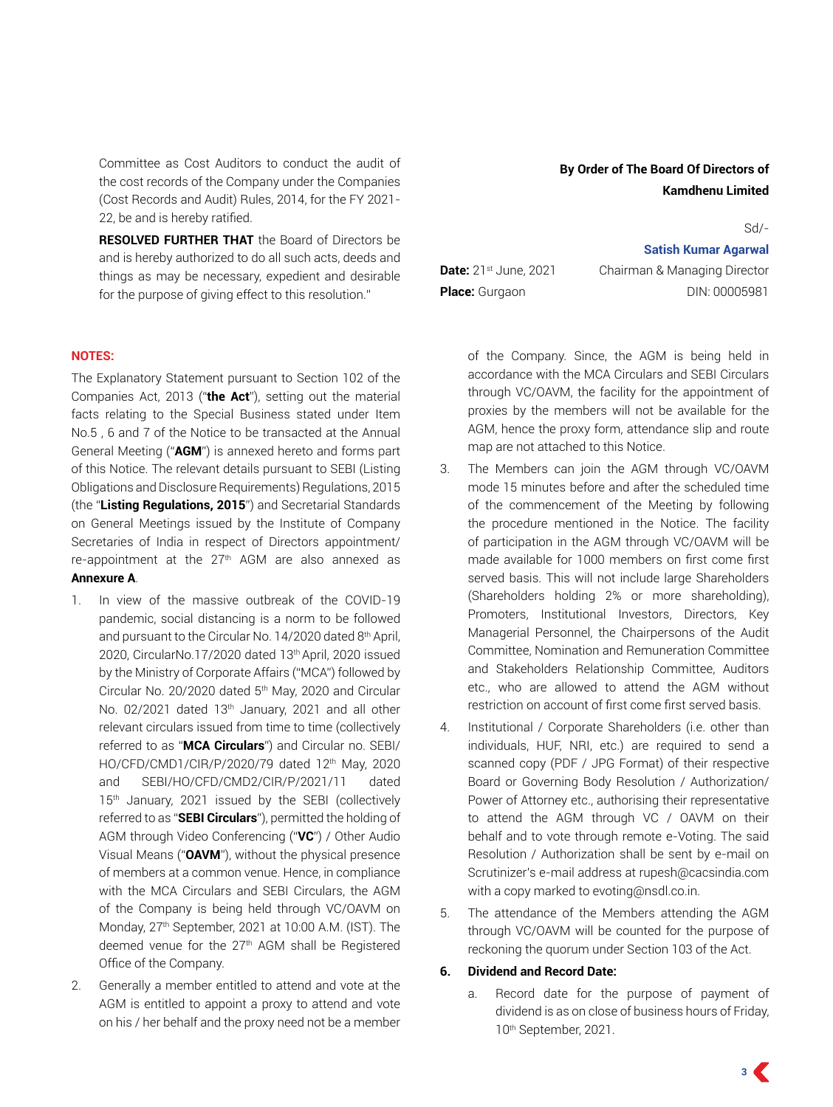Committee as Cost Auditors to conduct the audit of the cost records of the Company under the Companies (Cost Records and Audit) Rules, 2014, for the FY 2021- 22, be and is hereby ratified.

**RESOLVED FURTHER THAT** the Board of Directors be and is hereby authorized to do all such acts, deeds and things as may be necessary, expedient and desirable for the purpose of giving effect to this resolution."

#### **NOTES:**

The Explanatory Statement pursuant to Section 102 of the Companies Act, 2013 ("**the Act**"), setting out the material facts relating to the Special Business stated under Item No.5 , 6 and 7 of the Notice to be transacted at the Annual General Meeting ("**AGM**") is annexed hereto and forms part of this Notice. The relevant details pursuant to SEBI (Listing Obligations and Disclosure Requirements) Regulations, 2015 (the "**Listing Regulations, 2015**") and Secretarial Standards on General Meetings issued by the Institute of Company Secretaries of India in respect of Directors appointment/ re-appointment at the 27th AGM are also annexed as **Annexure A**.

- 1. In view of the massive outbreak of the COVID-19 pandemic, social distancing is a norm to be followed and pursuant to the Circular No. 14/2020 dated 8<sup>th</sup> April, 2020, CircularNo.17/2020 dated 13th April, 2020 issued by the Ministry of Corporate Affairs ("MCA") followed by Circular No. 20/2020 dated 5th May, 2020 and Circular No. 02/2021 dated 13<sup>th</sup> January, 2021 and all other relevant circulars issued from time to time (collectively referred to as "**MCA Circulars**") and Circular no. SEBI/ HO/CFD/CMD1/CIR/P/2020/79 dated 12<sup>th</sup> May, 2020 and SEBI/HO/CFD/CMD2/CIR/P/2021/11 dated 15<sup>th</sup> January, 2021 issued by the SEBI (collectively referred to as "**SEBI Circulars**"), permitted the holding of AGM through Video Conferencing ("**VC**") / Other Audio Visual Means ("**OAVM**"), without the physical presence of members at a common venue. Hence, in compliance with the MCA Circulars and SEBI Circulars, the AGM of the Company is being held through VC/OAVM on Monday, 27th September, 2021 at 10:00 A.M. (IST). The deemed venue for the 27<sup>th</sup> AGM shall be Registered Office of the Company.
- 2. Generally a member entitled to attend and vote at the AGM is entitled to appoint a proxy to attend and vote on his / her behalf and the proxy need not be a member

Sd/-

#### **Satish Kumar Agarwal**

**Date:** 21<sup>st</sup> June, 2021 Chairman & Managing Director **Place:** Gurgaon DIN: 00005981

of the Company. Since, the AGM is being held in accordance with the MCA Circulars and SEBI Circulars through VC/OAVM, the facility for the appointment of proxies by the members will not be available for the AGM, hence the proxy form, attendance slip and route map are not attached to this Notice.

- 3. The Members can join the AGM through VC/OAVM mode 15 minutes before and after the scheduled time of the commencement of the Meeting by following the procedure mentioned in the Notice. The facility of participation in the AGM through VC/OAVM will be made available for 1000 members on first come first served basis. This will not include large Shareholders (Shareholders holding 2% or more shareholding), Promoters, Institutional Investors, Directors, Key Managerial Personnel, the Chairpersons of the Audit Committee, Nomination and Remuneration Committee and Stakeholders Relationship Committee, Auditors etc., who are allowed to attend the AGM without restriction on account of first come first served basis.
- 4. Institutional / Corporate Shareholders (i.e. other than individuals, HUF, NRI, etc.) are required to send a scanned copy (PDF / JPG Format) of their respective Board or Governing Body Resolution / Authorization/ Power of Attorney etc., authorising their representative to attend the AGM through VC / OAVM on their behalf and to vote through remote e-Voting. The said Resolution / Authorization shall be sent by e-mail on Scrutinizer's e-mail address at rupesh@cacsindia.com with a copy marked to evoting@nsdl.co.in.
- 5. The attendance of the Members attending the AGM through VC/OAVM will be counted for the purpose of reckoning the quorum under Section 103 of the Act.

#### **6. Dividend and Record Date:**

a. Record date for the purpose of payment of dividend is as on close of business hours of Friday, 10th September, 2021.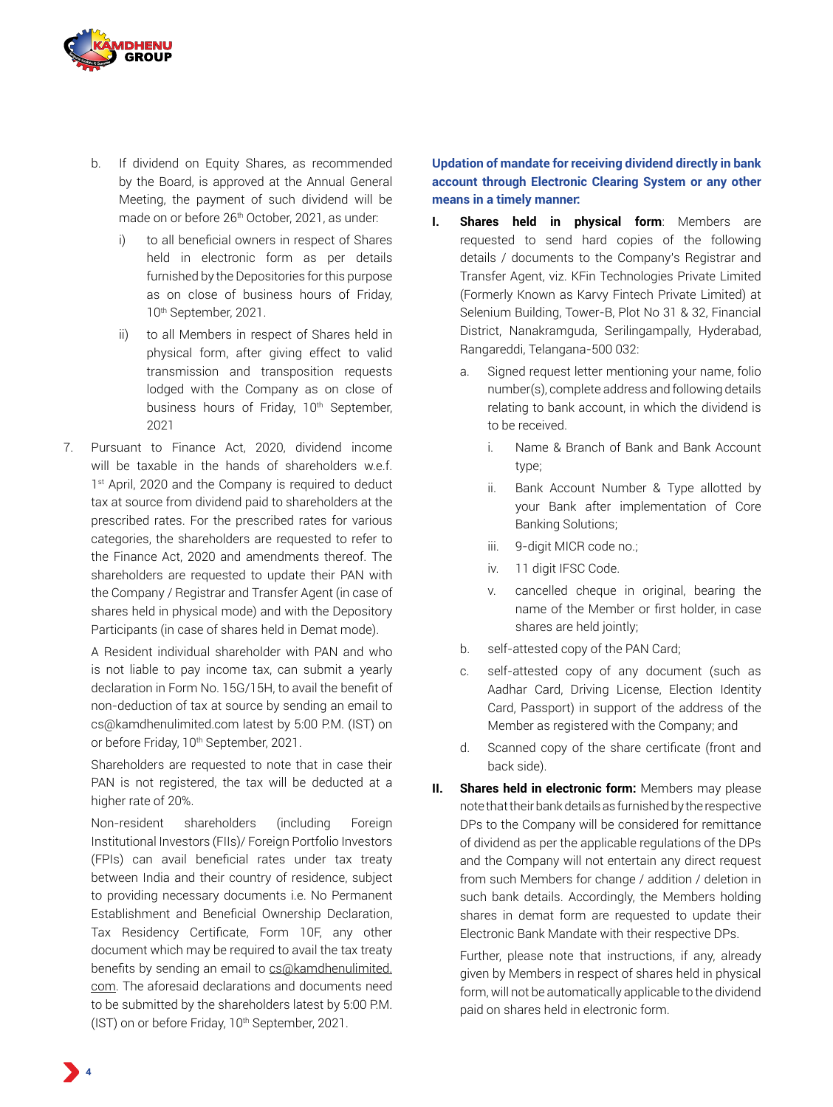

- b. If dividend on Equity Shares, as recommended by the Board, is approved at the Annual General Meeting, the payment of such dividend will be made on or before 26<sup>th</sup> October, 2021, as under:
	- i) to all beneficial owners in respect of Shares held in electronic form as per details furnished by the Depositories for this purpose as on close of business hours of Friday, 10<sup>th</sup> September, 2021.
	- ii) to all Members in respect of Shares held in physical form, after giving effect to valid transmission and transposition requests lodged with the Company as on close of business hours of Friday, 10<sup>th</sup> September, 2021
- 7. Pursuant to Finance Act, 2020, dividend income will be taxable in the hands of shareholders w.e.f. 1<sup>st</sup> April, 2020 and the Company is required to deduct tax at source from dividend paid to shareholders at the prescribed rates. For the prescribed rates for various categories, the shareholders are requested to refer to the Finance Act, 2020 and amendments thereof. The shareholders are requested to update their PAN with the Company / Registrar and Transfer Agent (in case of shares held in physical mode) and with the Depository Participants (in case of shares held in Demat mode).

A Resident individual shareholder with PAN and who is not liable to pay income tax, can submit a yearly declaration in Form No. 15G/15H, to avail the benefit of non-deduction of tax at source by sending an email to cs@kamdhenulimited.com latest by 5:00 P.M. (IST) on or before Friday, 10<sup>th</sup> September, 2021.

Shareholders are requested to note that in case their PAN is not registered, the tax will be deducted at a higher rate of 20%.

Non-resident shareholders (including Foreign Institutional Investors (FIIs)/ Foreign Portfolio Investors (FPIs) can avail beneficial rates under tax treaty between India and their country of residence, subject to providing necessary documents i.e. No Permanent Establishment and Beneficial Ownership Declaration, Tax Residency Certificate, Form 10F, any other document which may be required to avail the tax treaty benefits by sending an email to cs@kamdhenulimited. com. The aforesaid declarations and documents need to be submitted by the shareholders latest by 5:00 P.M. (IST) on or before Friday, 10<sup>th</sup> September, 2021.

**Updation of mandate for receiving dividend directly in bank account through Electronic Clearing System or any other means in a timely manner:**

- **I. Shares held in physical form**: Members are requested to send hard copies of the following details / documents to the Company's Registrar and Transfer Agent, viz. KFin Technologies Private Limited (Formerly Known as Karvy Fintech Private Limited) at Selenium Building, Tower-B, Plot No 31 & 32, Financial District, Nanakramguda, Serilingampally, Hyderabad, Rangareddi, Telangana-500 032:
	- a. Signed request letter mentioning your name, folio number(s), complete address and following details relating to bank account, in which the dividend is to be received.
		- i. Name & Branch of Bank and Bank Account type;
		- ii. Bank Account Number & Type allotted by your Bank after implementation of Core Banking Solutions;
		- iii. 9-digit MICR code no.;
		- iv. 11 digit IFSC Code.
		- v. cancelled cheque in original, bearing the name of the Member or first holder, in case shares are held jointly;
	- b. self-attested copy of the PAN Card;
	- c. self-attested copy of any document (such as Aadhar Card, Driving License, Election Identity Card, Passport) in support of the address of the Member as registered with the Company; and
	- d. Scanned copy of the share certificate (front and back side).
- **II. Shares held in electronic form:** Members may please note that their bank details as furnished by the respective DPs to the Company will be considered for remittance of dividend as per the applicable regulations of the DPs and the Company will not entertain any direct request from such Members for change / addition / deletion in such bank details. Accordingly, the Members holding shares in demat form are requested to update their Electronic Bank Mandate with their respective DPs.

Further, please note that instructions, if any, already given by Members in respect of shares held in physical form, will not be automatically applicable to the dividend paid on shares held in electronic form.

**4**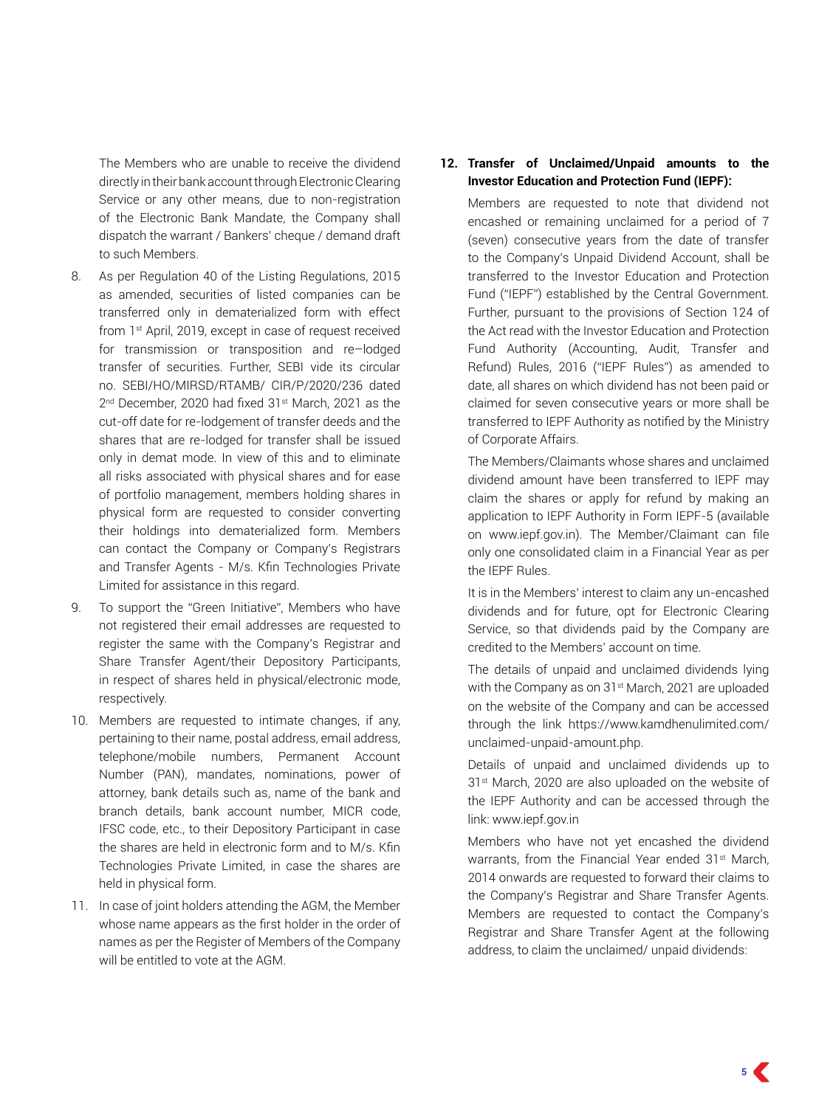The Members who are unable to receive the dividend directly in their bank account through Electronic Clearing Service or any other means, due to non-registration of the Electronic Bank Mandate, the Company shall dispatch the warrant / Bankers' cheque / demand draft to such Members.

- 8. As per Regulation 40 of the Listing Regulations, 2015 as amended, securities of listed companies can be transferred only in dematerialized form with effect from 1st April, 2019, except in case of request received for transmission or transposition and re–lodged transfer of securities. Further, SEBI vide its circular no. SEBI/HO/MIRSD/RTAMB/ CIR/P/2020/236 dated 2<sup>nd</sup> December, 2020 had fixed 31<sup>st</sup> March, 2021 as the cut-off date for re-lodgement of transfer deeds and the shares that are re-lodged for transfer shall be issued only in demat mode. In view of this and to eliminate all risks associated with physical shares and for ease of portfolio management, members holding shares in physical form are requested to consider converting their holdings into dematerialized form. Members can contact the Company or Company's Registrars and Transfer Agents - M/s. Kfin Technologies Private Limited for assistance in this regard.
- 9. To support the "Green Initiative", Members who have not registered their email addresses are requested to register the same with the Company's Registrar and Share Transfer Agent/their Depository Participants, in respect of shares held in physical/electronic mode, respectively.
- 10. Members are requested to intimate changes, if any, pertaining to their name, postal address, email address, telephone/mobile numbers, Permanent Account Number (PAN), mandates, nominations, power of attorney, bank details such as, name of the bank and branch details, bank account number, MICR code, IFSC code, etc., to their Depository Participant in case the shares are held in electronic form and to M/s. Kfin Technologies Private Limited, in case the shares are held in physical form.
- 11. In case of joint holders attending the AGM, the Member whose name appears as the first holder in the order of names as per the Register of Members of the Company will be entitled to vote at the AGM.

### **12. Transfer of Unclaimed/Unpaid amounts to the Investor Education and Protection Fund (IEPF):**

Members are requested to note that dividend not encashed or remaining unclaimed for a period of 7 (seven) consecutive years from the date of transfer to the Company's Unpaid Dividend Account, shall be transferred to the Investor Education and Protection Fund ("IEPF") established by the Central Government. Further, pursuant to the provisions of Section 124 of the Act read with the Investor Education and Protection Fund Authority (Accounting, Audit, Transfer and Refund) Rules, 2016 ("IEPF Rules") as amended to date, all shares on which dividend has not been paid or claimed for seven consecutive years or more shall be transferred to IEPF Authority as notified by the Ministry of Corporate Affairs.

The Members/Claimants whose shares and unclaimed dividend amount have been transferred to IEPF may claim the shares or apply for refund by making an application to IEPF Authority in Form IEPF-5 (available on www.iepf.gov.in). The Member/Claimant can file only one consolidated claim in a Financial Year as per the IEPF Rules.

It is in the Members' interest to claim any un-encashed dividends and for future, opt for Electronic Clearing Service, so that dividends paid by the Company are credited to the Members' account on time.

The details of unpaid and unclaimed dividends lying with the Company as on 31<sup>st</sup> March, 2021 are uploaded on the website of the Company and can be accessed through the link https://www.kamdhenulimited.com/ unclaimed-unpaid-amount.php.

Details of unpaid and unclaimed dividends up to 31<sup>st</sup> March, 2020 are also uploaded on the website of the IEPF Authority and can be accessed through the link: www.iepf.gov.in

Members who have not yet encashed the dividend warrants, from the Financial Year ended 31<sup>st</sup> March, 2014 onwards are requested to forward their claims to the Company's Registrar and Share Transfer Agents. Members are requested to contact the Company's Registrar and Share Transfer Agent at the following address, to claim the unclaimed/ unpaid dividends: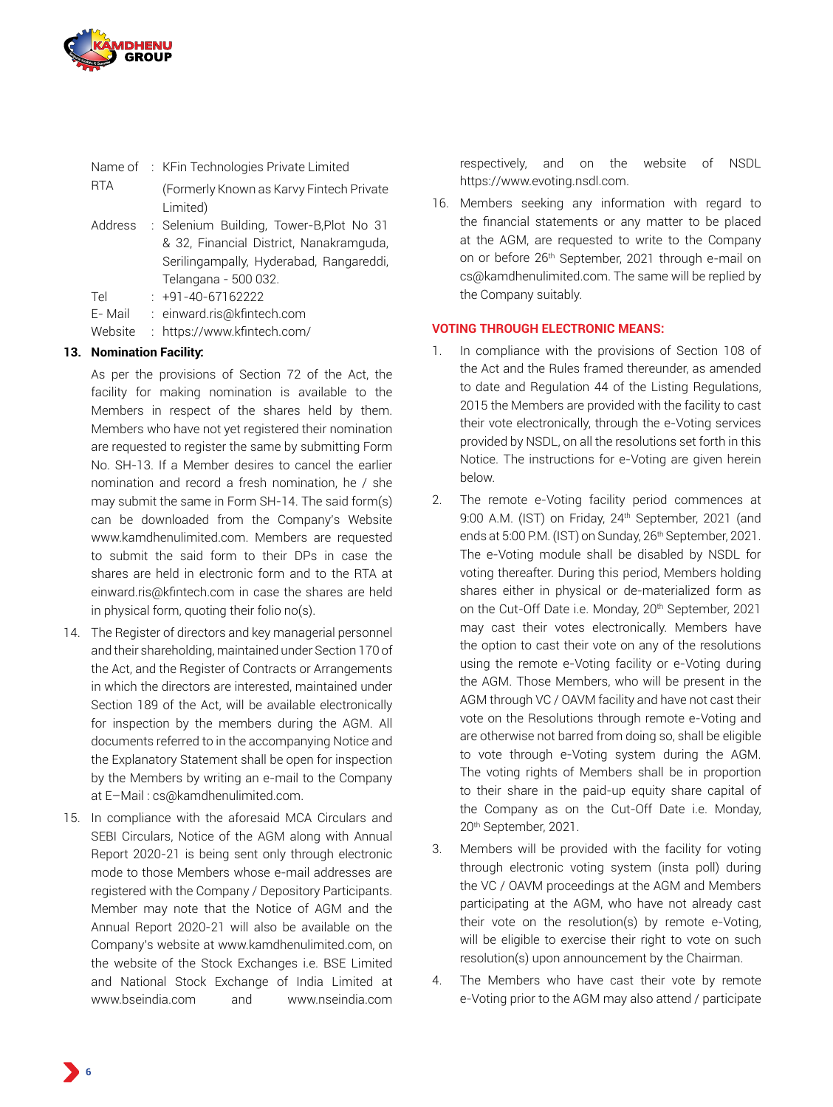

|            | Name of : KFin Technologies Private Limited |
|------------|---------------------------------------------|
| <b>RTA</b> | (Formerly Known as Karvy Fintech Private    |
|            | Limited)                                    |
| Address    | : Selenium Building, Tower-B, Plot No 31    |
|            | & 32, Financial District, Nanakramguda,     |

& 32, Financial District, Nanakramguda, Serilingampally, Hyderabad, Rangareddi, Telangana - 500 032.

Tel : +91-40-67162222

E- Mail : einward.ris@kfintech.com

Website : https://www.kfintech.com/

# **13. Nomination Facility:**

As per the provisions of Section 72 of the Act, the facility for making nomination is available to the Members in respect of the shares held by them. Members who have not yet registered their nomination are requested to register the same by submitting Form No. SH-13. If a Member desires to cancel the earlier nomination and record a fresh nomination, he / she may submit the same in Form SH-14. The said form(s) can be downloaded from the Company's Website www.kamdhenulimited.com. Members are requested to submit the said form to their DPs in case the shares are held in electronic form and to the RTA at einward.ris@kfintech.com in case the shares are held in physical form, quoting their folio no(s).

- 14. The Register of directors and key managerial personnel and their shareholding, maintained under Section 170 of the Act, and the Register of Contracts or Arrangements in which the directors are interested, maintained under Section 189 of the Act, will be available electronically for inspection by the members during the AGM. All documents referred to in the accompanying Notice and the Explanatory Statement shall be open for inspection by the Members by writing an e-mail to the Company at E–Mail : cs@kamdhenulimited.com.
- 15. In compliance with the aforesaid MCA Circulars and SEBI Circulars, Notice of the AGM along with Annual Report 2020-21 is being sent only through electronic mode to those Members whose e-mail addresses are registered with the Company / Depository Participants. Member may note that the Notice of AGM and the Annual Report 2020-21 will also be available on the Company's website at www.kamdhenulimited.com, on the website of the Stock Exchanges i.e. BSE Limited and National Stock Exchange of India Limited at www.bseindia.com and www.nseindia.com

respectively, and on the website of NSDL https://www.evoting.nsdl.com.

16. Members seeking any information with regard to the financial statements or any matter to be placed at the AGM, are requested to write to the Company on or before 26<sup>th</sup> September, 2021 through e-mail on cs@kamdhenulimited.com. The same will be replied by the Company suitably.

#### **VOTING THROUGH ELECTRONIC MEANS:**

- 1. In compliance with the provisions of Section 108 of the Act and the Rules framed thereunder, as amended to date and Regulation 44 of the Listing Regulations, 2015 the Members are provided with the facility to cast their vote electronically, through the e-Voting services provided by NSDL, on all the resolutions set forth in this Notice. The instructions for e-Voting are given herein below.
- 2. The remote e-Voting facility period commences at 9:00 A.M. (IST) on Friday, 24<sup>th</sup> September, 2021 (and ends at 5:00 P.M. (IST) on Sunday, 26<sup>th</sup> September, 2021. The e-Voting module shall be disabled by NSDL for voting thereafter. During this period, Members holding shares either in physical or de-materialized form as on the Cut-Off Date i.e. Monday, 20th September, 2021 may cast their votes electronically. Members have the option to cast their vote on any of the resolutions using the remote e-Voting facility or e-Voting during the AGM. Those Members, who will be present in the AGM through VC / OAVM facility and have not cast their vote on the Resolutions through remote e-Voting and are otherwise not barred from doing so, shall be eligible to vote through e-Voting system during the AGM. The voting rights of Members shall be in proportion to their share in the paid-up equity share capital of the Company as on the Cut-Off Date i.e. Monday, 20th September, 2021.
- 3. Members will be provided with the facility for voting through electronic voting system (insta poll) during the VC / OAVM proceedings at the AGM and Members participating at the AGM, who have not already cast their vote on the resolution(s) by remote e-Voting, will be eligible to exercise their right to vote on such resolution(s) upon announcement by the Chairman.
- 4. The Members who have cast their vote by remote e-Voting prior to the AGM may also attend / participate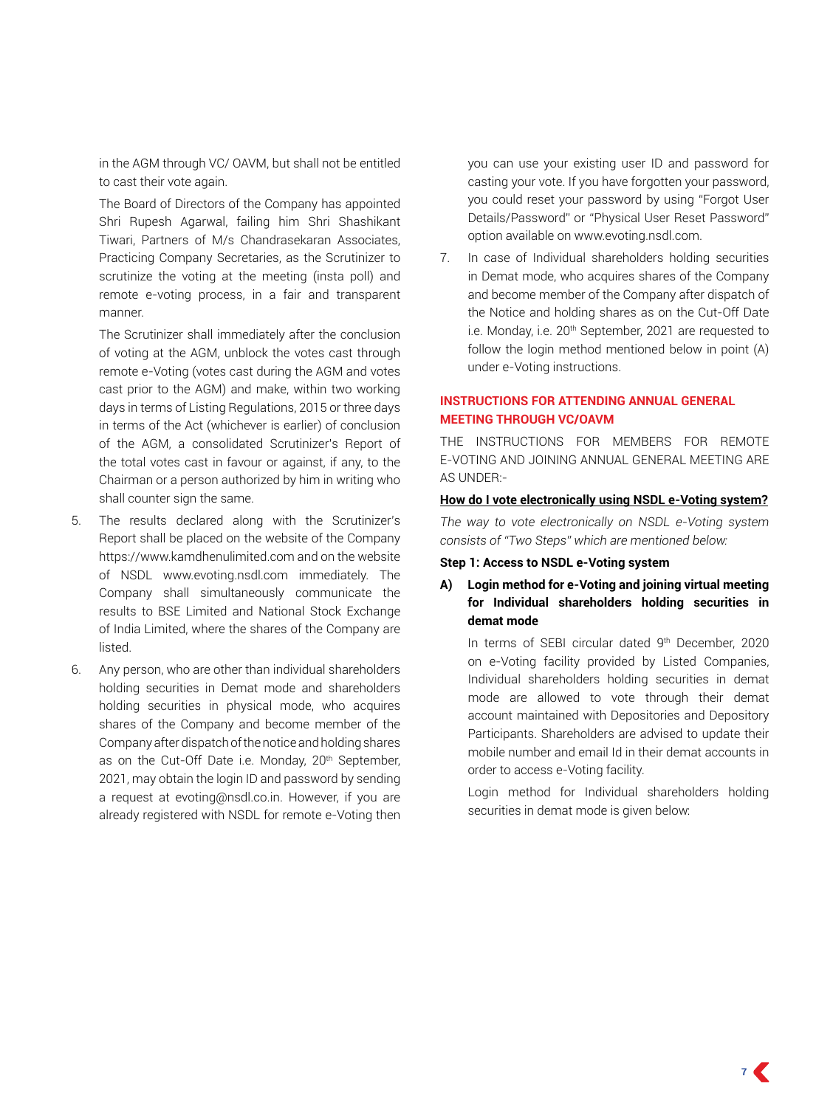in the AGM through VC/ OAVM, but shall not be entitled to cast their vote again.

The Board of Directors of the Company has appointed Shri Rupesh Agarwal, failing him Shri Shashikant Tiwari, Partners of M/s Chandrasekaran Associates, Practicing Company Secretaries, as the Scrutinizer to scrutinize the voting at the meeting (insta poll) and remote e-voting process, in a fair and transparent manner.

The Scrutinizer shall immediately after the conclusion of voting at the AGM, unblock the votes cast through remote e-Voting (votes cast during the AGM and votes cast prior to the AGM) and make, within two working days in terms of Listing Regulations, 2015 or three days in terms of the Act (whichever is earlier) of conclusion of the AGM, a consolidated Scrutinizer's Report of the total votes cast in favour or against, if any, to the Chairman or a person authorized by him in writing who shall counter sign the same.

- 5. The results declared along with the Scrutinizer's Report shall be placed on the website of the Company https://www.kamdhenulimited.com and on the website of NSDL www.evoting.nsdl.com immediately. The Company shall simultaneously communicate the results to BSE Limited and National Stock Exchange of India Limited, where the shares of the Company are listed.
- 6. Any person, who are other than individual shareholders holding securities in Demat mode and shareholders holding securities in physical mode, who acquires shares of the Company and become member of the Company after dispatch of the notice and holding shares as on the Cut-Off Date i.e. Monday, 20<sup>th</sup> September, 2021, may obtain the login ID and password by sending a request at evoting@nsdl.co.in. However, if you are already registered with NSDL for remote e-Voting then

you can use your existing user ID and password for casting your vote. If you have forgotten your password, you could reset your password by using "Forgot User Details/Password" or "Physical User Reset Password" option available on www.evoting.nsdl.com.

7. In case of Individual shareholders holding securities in Demat mode, who acquires shares of the Company and become member of the Company after dispatch of the Notice and holding shares as on the Cut-Off Date i.e. Monday, i.e. 20<sup>th</sup> September, 2021 are requested to follow the login method mentioned below in point (A) under e-Voting instructions.

# **INSTRUCTIONS FOR ATTENDING ANNUAL GENERAL MEETING THROUGH VC/OAVM**

THE INSTRUCTIONS FOR MEMBERS FOR REMOTE E-VOTING AND JOINING ANNUAL GENERAL MEETING ARE AS UNDER:-

#### **How do I vote electronically using NSDL e-Voting system?**

*The way to vote electronically on NSDL e-Voting system consists of "Two Steps" which are mentioned below:*

#### **Step 1: Access to NSDL e-Voting system**

# **A) Login method for e-Voting and joining virtual meeting for Individual shareholders holding securities in demat mode**

In terms of SEBI circular dated 9th December, 2020 on e-Voting facility provided by Listed Companies, Individual shareholders holding securities in demat mode are allowed to vote through their demat account maintained with Depositories and Depository Participants. Shareholders are advised to update their mobile number and email Id in their demat accounts in order to access e-Voting facility.

Login method for Individual shareholders holding securities in demat mode is given below: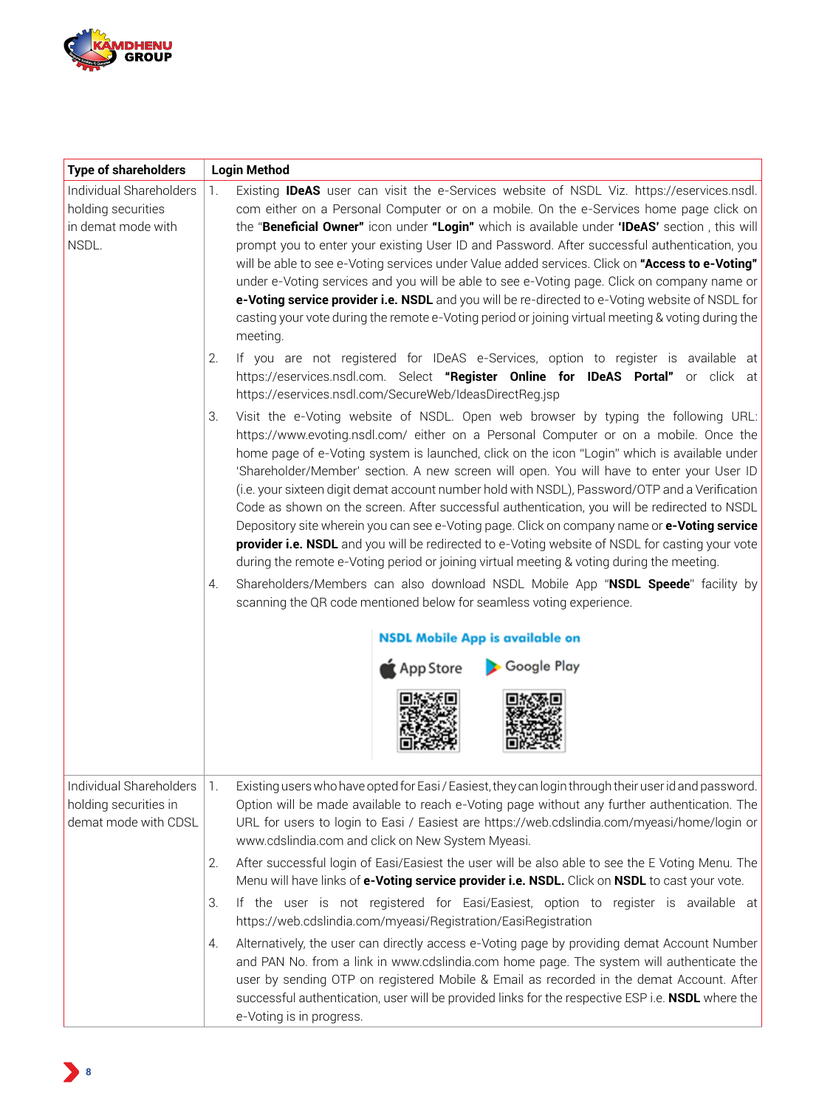

| <b>Type of shareholders</b>                                                  | <b>Login Method</b>                                                                                                                                                                                                                                                                                                                                                                                                                                                                                                                                                                                                                                                                                                                                                                                                                                                            |
|------------------------------------------------------------------------------|--------------------------------------------------------------------------------------------------------------------------------------------------------------------------------------------------------------------------------------------------------------------------------------------------------------------------------------------------------------------------------------------------------------------------------------------------------------------------------------------------------------------------------------------------------------------------------------------------------------------------------------------------------------------------------------------------------------------------------------------------------------------------------------------------------------------------------------------------------------------------------|
| Individual Shareholders<br>holding securities<br>in demat mode with<br>NSDL. | Existing <b>IDeAS</b> user can visit the e-Services website of NSDL Viz. https://eservices.nsdl.<br>1.<br>com either on a Personal Computer or on a mobile. On the e-Services home page click on<br>the "Beneficial Owner" icon under "Login" which is available under 'IDeAS' section, this will<br>prompt you to enter your existing User ID and Password. After successful authentication, you<br>will be able to see e-Voting services under Value added services. Click on "Access to e-Voting"<br>under e-Voting services and you will be able to see e-Voting page. Click on company name or<br>e-Voting service provider i.e. NSDL and you will be re-directed to e-Voting website of NSDL for<br>casting your vote during the remote e-Voting period or joining virtual meeting & voting during the<br>meeting.                                                       |
|                                                                              | If you are not registered for IDeAS e-Services, option to register is available at<br>2.<br>https://eservices.nsdl.com. Select "Register Online for IDeAS Portal" or click at<br>https://eservices.nsdl.com/SecureWeb/IdeasDirectReg.jsp                                                                                                                                                                                                                                                                                                                                                                                                                                                                                                                                                                                                                                       |
|                                                                              | Visit the e-Voting website of NSDL. Open web browser by typing the following URL:<br>З.<br>https://www.evoting.nsdl.com/ either on a Personal Computer or on a mobile. Once the<br>home page of e-Voting system is launched, click on the icon "Login" which is available under<br>'Shareholder/Member' section. A new screen will open. You will have to enter your User ID<br>(i.e. your sixteen digit demat account number hold with NSDL), Password/OTP and a Verification<br>Code as shown on the screen. After successful authentication, you will be redirected to NSDL<br>Depository site wherein you can see e-Voting page. Click on company name or e-Voting service<br>provider i.e. NSDL and you will be redirected to e-Voting website of NSDL for casting your vote<br>during the remote e-Voting period or joining virtual meeting & voting during the meeting. |
|                                                                              | Shareholders/Members can also download NSDL Mobile App "NSDL Speede" facility by<br>4.<br>scanning the QR code mentioned below for seamless voting experience.                                                                                                                                                                                                                                                                                                                                                                                                                                                                                                                                                                                                                                                                                                                 |
|                                                                              |                                                                                                                                                                                                                                                                                                                                                                                                                                                                                                                                                                                                                                                                                                                                                                                                                                                                                |
|                                                                              | <b>NSDL Mobile App is available on</b>                                                                                                                                                                                                                                                                                                                                                                                                                                                                                                                                                                                                                                                                                                                                                                                                                                         |
|                                                                              | Google Play<br>App Store                                                                                                                                                                                                                                                                                                                                                                                                                                                                                                                                                                                                                                                                                                                                                                                                                                                       |
| Individual Shareholders<br>holding securities in<br>demat mode with CDSL     | Existing users who have opted for Easi / Easiest, they can login through their user id and password.<br>Τ.<br>Option will be made available to reach e-Voting page without any further authentication. The<br>URL for users to login to Easi / Easiest are https://web.cdslindia.com/myeasi/home/login or<br>www.cdslindia.com and click on New System Myeasi.                                                                                                                                                                                                                                                                                                                                                                                                                                                                                                                 |
|                                                                              | After successful login of Easi/Easiest the user will be also able to see the E Voting Menu. The<br>2.<br>Menu will have links of e-Voting service provider i.e. NSDL. Click on NSDL to cast your vote.                                                                                                                                                                                                                                                                                                                                                                                                                                                                                                                                                                                                                                                                         |
|                                                                              | If the user is not registered for Easi/Easiest, option to register is available at<br>З.<br>https://web.cdslindia.com/myeasi/Registration/EasiRegistration                                                                                                                                                                                                                                                                                                                                                                                                                                                                                                                                                                                                                                                                                                                     |
|                                                                              | Alternatively, the user can directly access e-Voting page by providing demat Account Number<br>4.<br>and PAN No. from a link in www.cdslindia.com home page. The system will authenticate the<br>user by sending OTP on registered Mobile & Email as recorded in the demat Account. After<br>successful authentication, user will be provided links for the respective ESP i.e. NSDL where the<br>e-Voting is in progress.                                                                                                                                                                                                                                                                                                                                                                                                                                                     |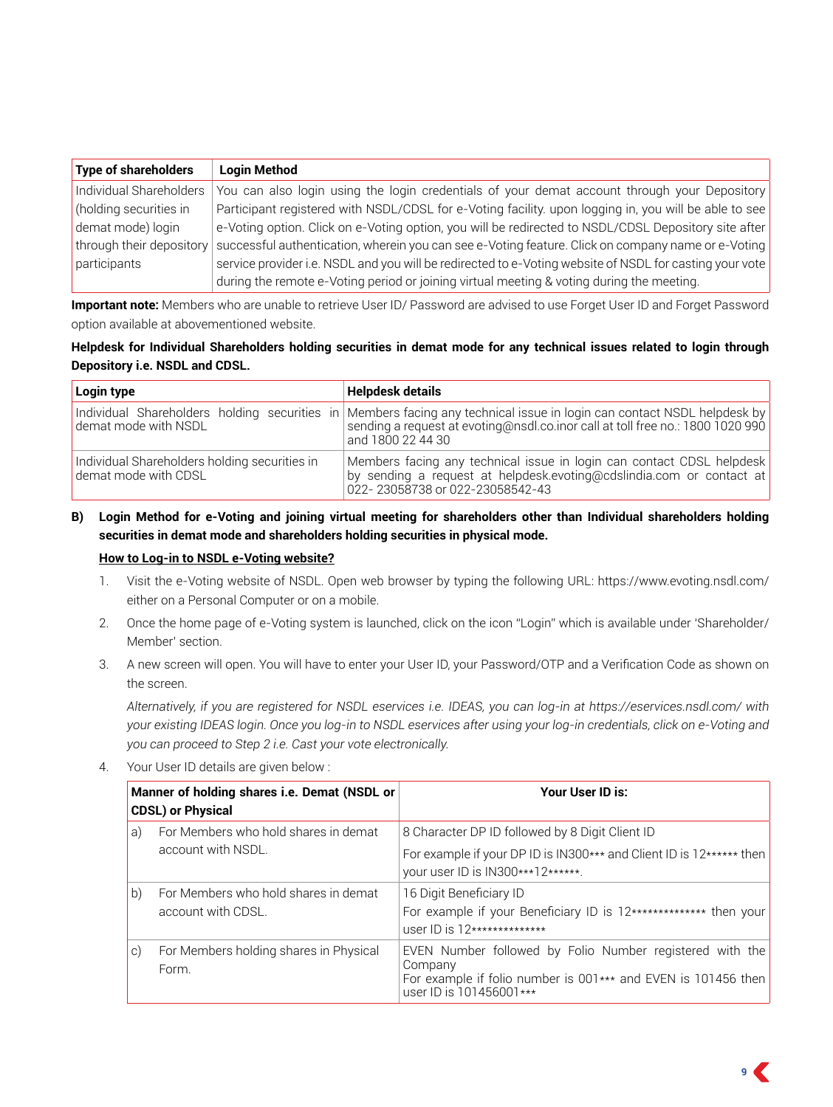| <b>Type of shareholders</b> | <b>Login Method</b>                                                                                     |
|-----------------------------|---------------------------------------------------------------------------------------------------------|
| Individual Shareholders     | You can also login using the login credentials of your demat account through your Depository            |
| (holding securities in      | Participant registered with NSDL/CDSL for e-Voting facility, upon logging in, you will be able to see   |
| demat mode) login           | e-Voting option. Click on e-Voting option, you will be redirected to NSDL/CDSL Depository site after    |
| through their depository    | successful authentication, wherein you can see e-Voting feature. Click on company name or e-Voting      |
| participants                | service provider i.e. NSDL and you will be redirected to e-Voting website of NSDL for casting your vote |
|                             | during the remote e-Voting period or joining virtual meeting & voting during the meeting.               |

**Important note:** Members who are unable to retrieve User ID/ Password are advised to use Forget User ID and Forget Password option available at abovementioned website.

## **Helpdesk for Individual Shareholders holding securities in demat mode for any technical issues related to login through Depository i.e. NSDL and CDSL.**

| Login type                                                            | <b>Helpdesk details</b>                                                                                                                                                                                                           |  |  |  |  |
|-----------------------------------------------------------------------|-----------------------------------------------------------------------------------------------------------------------------------------------------------------------------------------------------------------------------------|--|--|--|--|
| demat mode with NSDL                                                  | Individual Shareholders holding securities in   Members facing any technical issue in login can contact NSDL helpdesk by  <br>sending a request at evoting@nsdl.co.inor call at toll free no.: 1800 1020 990<br>and 1800 22 44 30 |  |  |  |  |
| Individual Shareholders holding securities in<br>demat mode with CDSL | Members facing any technical issue in login can contact CDSL helpdesk<br>by sending a request at helpdesk.evoting@cdslindia.com or contact at<br>022-23058738 or 022-23058542-43                                                  |  |  |  |  |

# **B) Login Method for e-Voting and joining virtual meeting for shareholders other than Individual shareholders holding securities in demat mode and shareholders holding securities in physical mode.**

## **How to Log-in to NSDL e-Voting website?**

- 1. Visit the e-Voting website of NSDL. Open web browser by typing the following URL: https://www.evoting.nsdl.com/ either on a Personal Computer or on a mobile.
- 2. Once the home page of e-Voting system is launched, click on the icon "Login" which is available under 'Shareholder/ Member' section.
- 3. A new screen will open. You will have to enter your User ID, your Password/OTP and a Verification Code as shown on the screen.

*Alternatively, if you are registered for NSDL eservices i.e. IDEAS, you can log-in at https://eservices.nsdl.com/ with your existing IDEAS login. Once you log-in to NSDL eservices after using your log-in credentials, click on e-Voting and you can proceed to Step 2 i.e. Cast your vote electronically.*

4. Your User ID details are given below :

|           | Manner of holding shares i.e. Demat (NSDL or<br><b>CDSL) or Physical</b> | Your User ID is:                                                                                                                                                |  |  |  |  |  |
|-----------|--------------------------------------------------------------------------|-----------------------------------------------------------------------------------------------------------------------------------------------------------------|--|--|--|--|--|
| a)        | For Members who hold shares in demat<br>account with NSDL.               | 8 Character DP ID followed by 8 Digit Client ID<br>For example if your DP ID is IN300*** and Client ID is 12****** then<br>your user ID is IN300***12******.    |  |  |  |  |  |
| b)        | For Members who hold shares in demat<br>account with CDSL.               | 16 Digit Beneficiary ID<br>For example if your Beneficiary ID is 12************** then your<br>$USET$ ID is $12****************$                                |  |  |  |  |  |
| $\circ$ ) | For Members holding shares in Physical<br>Form.                          | EVEN Number followed by Folio Number registered with the<br>Company<br>For example if folio number is 001*** and EVEN is 101456 then<br>user ID is 101456001*** |  |  |  |  |  |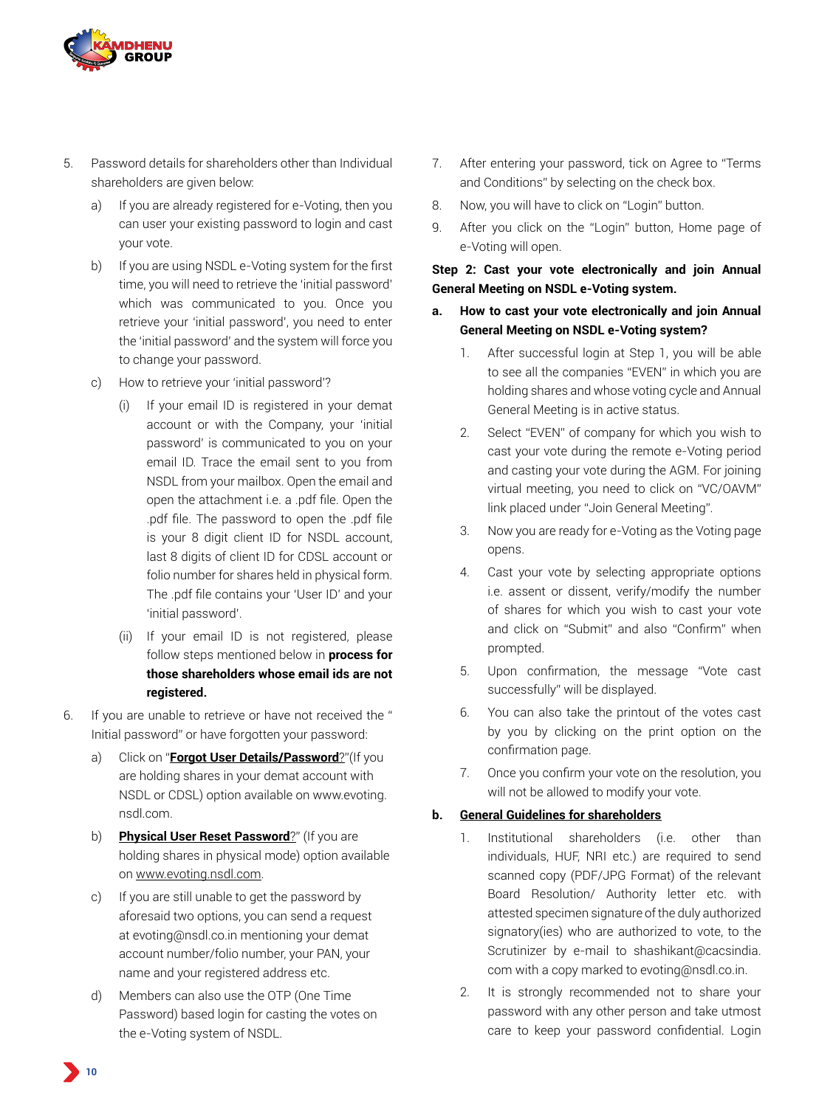

- 5. Password details for shareholders other than Individual shareholders are given below:
	- a) If you are already registered for e-Voting, then you can user your existing password to login and cast your vote.
	- b) If you are using NSDL e-Voting system for the first time, you will need to retrieve the 'initial password' which was communicated to you. Once you retrieve your 'initial password', you need to enter the 'initial password' and the system will force you to change your password.
	- c) How to retrieve your 'initial password'?
		- (i) If your email ID is registered in your demat account or with the Company, your 'initial password' is communicated to you on your email ID. Trace the email sent to you from NSDL from your mailbox. Open the email and open the attachment i.e. a .pdf file. Open the .pdf file. The password to open the .pdf file is your 8 digit client ID for NSDL account, last 8 digits of client ID for CDSL account or folio number for shares held in physical form. The .pdf file contains your 'User ID' and your 'initial password'.
		- (ii) If your email ID is not registered, please follow steps mentioned below in **process for those shareholders whose email ids are not registered.**
- 6. If you are unable to retrieve or have not received the " Initial password" or have forgotten your password:
	- a) Click on "**Forgot User Details/Password**?"(If you are holding shares in your demat account with NSDL or CDSL) option available on www.evoting. nsdl.com.
	- b) **Physical User Reset Password**?" (If you are holding shares in physical mode) option available on www.evoting.nsdl.com.
	- c) If you are still unable to get the password by aforesaid two options, you can send a request at evoting@nsdl.co.in mentioning your demat account number/folio number, your PAN, your name and your registered address etc.
	- d) Members can also use the OTP (One Time Password) based login for casting the votes on the e-Voting system of NSDL.
- 7. After entering your password, tick on Agree to "Terms and Conditions" by selecting on the check box.
- 8. Now, you will have to click on "Login" button.
- 9. After you click on the "Login" button, Home page of e-Voting will open.

# **Step 2: Cast your vote electronically and join Annual General Meeting on NSDL e-Voting system.**

- **a. How to cast your vote electronically and join Annual General Meeting on NSDL e-Voting system?**
	- 1. After successful login at Step 1, you will be able to see all the companies "EVEN" in which you are holding shares and whose voting cycle and Annual General Meeting is in active status.
	- 2. Select "EVEN" of company for which you wish to cast your vote during the remote e-Voting period and casting your vote during the AGM. For joining virtual meeting, you need to click on "VC/OAVM" link placed under "Join General Meeting".
	- 3. Now you are ready for e-Voting as the Voting page opens.
	- 4. Cast your vote by selecting appropriate options i.e. assent or dissent, verify/modify the number of shares for which you wish to cast your vote and click on "Submit" and also "Confirm" when prompted.
	- 5. Upon confirmation, the message "Vote cast successfully" will be displayed.
	- 6. You can also take the printout of the votes cast by you by clicking on the print option on the confirmation page.
	- 7. Once you confirm your vote on the resolution, you will not be allowed to modify your vote.

# **b. General Guidelines for shareholders**

- 1. Institutional shareholders (i.e. other than individuals, HUF, NRI etc.) are required to send scanned copy (PDF/JPG Format) of the relevant Board Resolution/ Authority letter etc. with attested specimen signature of the duly authorized signatory(ies) who are authorized to vote, to the Scrutinizer by e-mail to shashikant@cacsindia. com with a copy marked to evoting@nsdl.co.in.
- 2. It is strongly recommended not to share your password with any other person and take utmost care to keep your password confidential. Login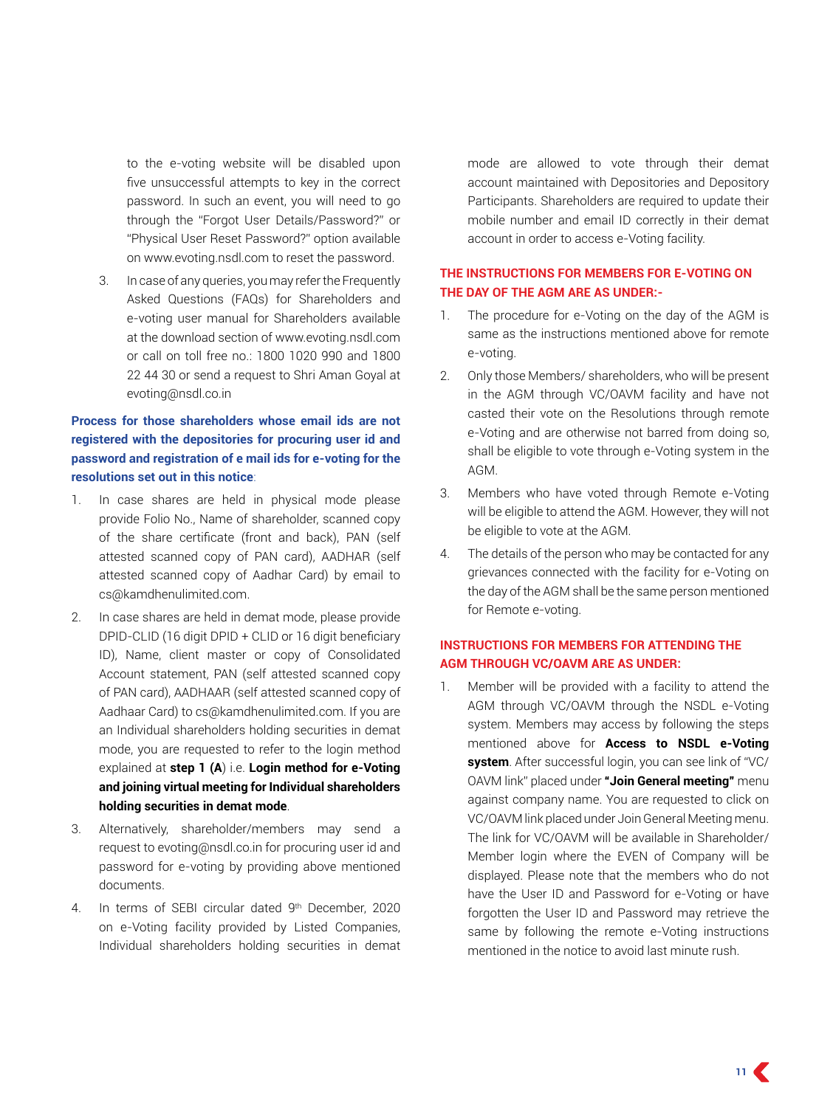to the e-voting website will be disabled upon five unsuccessful attempts to key in the correct password. In such an event, you will need to go through the "Forgot User Details/Password?" or "Physical User Reset Password?" option available on www.evoting.nsdl.com to reset the password.

3. In case of any queries, you may refer the Frequently Asked Questions (FAQs) for Shareholders and e-voting user manual for Shareholders available at the download section of www.evoting.nsdl.com or call on toll free no.: 1800 1020 990 and 1800 22 44 30 or send a request to Shri Aman Goyal at evoting@nsdl.co.in

# **Process for those shareholders whose email ids are not registered with the depositories for procuring user id and password and registration of e mail ids for e-voting for the resolutions set out in this notice**:

- 1. In case shares are held in physical mode please provide Folio No., Name of shareholder, scanned copy of the share certificate (front and back), PAN (self attested scanned copy of PAN card), AADHAR (self attested scanned copy of Aadhar Card) by email to cs@kamdhenulimited.com.
- 2. In case shares are held in demat mode, please provide DPID-CLID (16 digit DPID + CLID or 16 digit beneficiary ID), Name, client master or copy of Consolidated Account statement, PAN (self attested scanned copy of PAN card), AADHAAR (self attested scanned copy of Aadhaar Card) to cs@kamdhenulimited.com. If you are an Individual shareholders holding securities in demat mode, you are requested to refer to the login method explained at **step 1 (A**) i.e. **Login method for e-Voting and joining virtual meeting for Individual shareholders holding securities in demat mode**.
- 3. Alternatively, shareholder/members may send a request to evoting@nsdl.co.in for procuring user id and password for e-voting by providing above mentioned documents.
- 4. In terms of SEBI circular dated 9th December, 2020 on e-Voting facility provided by Listed Companies, Individual shareholders holding securities in demat

mode are allowed to vote through their demat account maintained with Depositories and Depository Participants. Shareholders are required to update their mobile number and email ID correctly in their demat account in order to access e-Voting facility.

### **THE INSTRUCTIONS FOR MEMBERS FOR e-VOTING ON THE DAY OF THE AGM ARE AS UNDER:-**

- 1. The procedure for e-Voting on the day of the AGM is same as the instructions mentioned above for remote e-voting.
- 2. Only those Members/ shareholders, who will be present in the AGM through VC/OAVM facility and have not casted their vote on the Resolutions through remote e-Voting and are otherwise not barred from doing so, shall be eligible to vote through e-Voting system in the AGM.
- 3. Members who have voted through Remote e-Voting will be eligible to attend the AGM. However, they will not be eligible to vote at the AGM.
- 4. The details of the person who may be contacted for any grievances connected with the facility for e-Voting on the day of the AGM shall be the same person mentioned for Remote e-voting.

# **INSTRUCTIONS FOR MEMBERS FOR ATTENDING THE AGM THROUGH VC/OAVM ARE AS UNDER:**

1. Member will be provided with a facility to attend the AGM through VC/OAVM through the NSDL e-Voting system. Members may access by following the steps mentioned above for **Access to NSDL e-Voting system**. After successful login, you can see link of "VC/ OAVM link" placed under **"Join General meeting"** menu against company name. You are requested to click on VC/OAVM link placed under Join General Meeting menu. The link for VC/OAVM will be available in Shareholder/ Member login where the EVEN of Company will be displayed. Please note that the members who do not have the User ID and Password for e-Voting or have forgotten the User ID and Password may retrieve the same by following the remote e-Voting instructions mentioned in the notice to avoid last minute rush.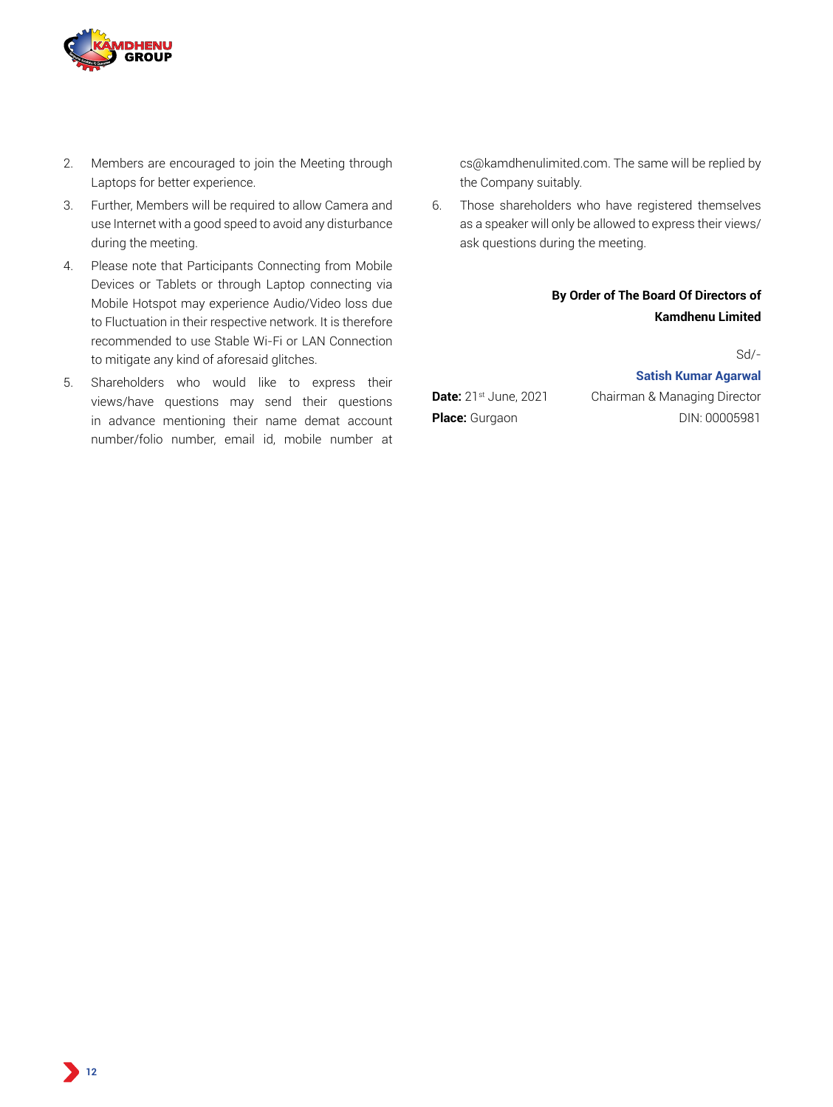

- 2. Members are encouraged to join the Meeting through Laptops for better experience.
- 3. Further, Members will be required to allow Camera and use Internet with a good speed to avoid any disturbance during the meeting.
- 4. Please note that Participants Connecting from Mobile Devices or Tablets or through Laptop connecting via Mobile Hotspot may experience Audio/Video loss due to Fluctuation in their respective network. It is therefore recommended to use Stable Wi-Fi or LAN Connection to mitigate any kind of aforesaid glitches.
- 5. Shareholders who would like to express their views/have questions may send their questions in advance mentioning their name demat account number/folio number, email id, mobile number at

cs@kamdhenulimited.com. The same will be replied by the Company suitably.

6. Those shareholders who have registered themselves as a speaker will only be allowed to express their views/ ask questions during the meeting.

# **By Order of The Board Of Directors of Kamdhenu Limited**

Sd/-

### **Satish Kumar Agarwal**

**Date:** 21<sup>st</sup> June, 2021 Chairman & Managing Director **Place:** Gurgaon DIN: 00005981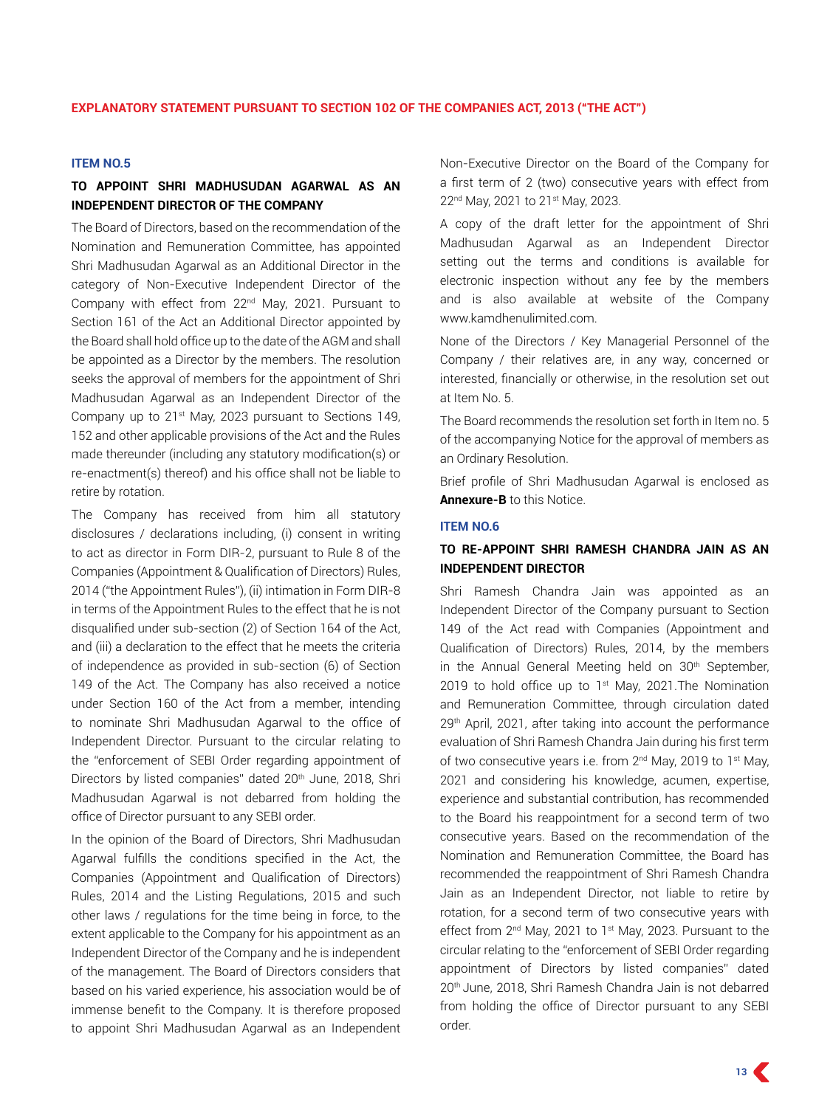#### **ITEM NO.5**

# **TO APPOINT Shri MADHUSUDAN AGARWAL AS AN INDEPENDENT DIRECTOR OF THE COMPANY**

The Board of Directors, based on the recommendation of the Nomination and Remuneration Committee, has appointed Shri Madhusudan Agarwal as an Additional Director in the category of Non-Executive Independent Director of the Company with effect from 22nd May, 2021. Pursuant to Section 161 of the Act an Additional Director appointed by the Board shall hold office up to the date of the AGM and shall be appointed as a Director by the members. The resolution seeks the approval of members for the appointment of Shri Madhusudan Agarwal as an Independent Director of the Company up to 21st May, 2023 pursuant to Sections 149, 152 and other applicable provisions of the Act and the Rules made thereunder (including any statutory modification(s) or re-enactment(s) thereof) and his office shall not be liable to retire by rotation.

The Company has received from him all statutory disclosures / declarations including, (i) consent in writing to act as director in Form DIR-2, pursuant to Rule 8 of the Companies (Appointment & Qualification of Directors) Rules, 2014 ("the Appointment Rules"), (ii) intimation in Form DIR-8 in terms of the Appointment Rules to the effect that he is not disqualified under sub-section (2) of Section 164 of the Act, and (iii) a declaration to the effect that he meets the criteria of independence as provided in sub-section (6) of Section 149 of the Act. The Company has also received a notice under Section 160 of the Act from a member, intending to nominate Shri Madhusudan Agarwal to the office of Independent Director. Pursuant to the circular relating to the "enforcement of SEBI Order regarding appointment of Directors by listed companies" dated 20<sup>th</sup> June, 2018, Shri Madhusudan Agarwal is not debarred from holding the office of Director pursuant to any SEBI order.

In the opinion of the Board of Directors, Shri Madhusudan Agarwal fulfills the conditions specified in the Act, the Companies (Appointment and Qualification of Directors) Rules, 2014 and the Listing Regulations, 2015 and such other laws / regulations for the time being in force, to the extent applicable to the Company for his appointment as an Independent Director of the Company and he is independent of the management. The Board of Directors considers that based on his varied experience, his association would be of immense benefit to the Company. It is therefore proposed to appoint Shri Madhusudan Agarwal as an Independent Non-Executive Director on the Board of the Company for a first term of 2 (two) consecutive years with effect from 22<sup>nd</sup> May, 2021 to 21<sup>st</sup> May, 2023.

A copy of the draft letter for the appointment of Shri Madhusudan Agarwal as an Independent Director setting out the terms and conditions is available for electronic inspection without any fee by the members and is also available at website of the Company www.kamdhenulimited.com.

None of the Directors / Key Managerial Personnel of the Company / their relatives are, in any way, concerned or interested, financially or otherwise, in the resolution set out at Item No. 5.

The Board recommends the resolution set forth in Item no. 5 of the accompanying Notice for the approval of members as an Ordinary Resolution.

Brief profile of Shri Madhusudan Agarwal is enclosed as **Annexure-B** to this Notice.

#### **ITEM NO.6**

#### **TO RE-APPOINT Shri RAMESH CHANDRA JAIN AS AN INDEPENDENT DIRECTOR**

Shri Ramesh Chandra Jain was appointed as an Independent Director of the Company pursuant to Section 149 of the Act read with Companies (Appointment and Qualification of Directors) Rules, 2014, by the members in the Annual General Meeting held on 30<sup>th</sup> September, 2019 to hold office up to  $1<sup>st</sup>$  May, 2021. The Nomination and Remuneration Committee, through circulation dated 29<sup>th</sup> April, 2021, after taking into account the performance evaluation of Shri Ramesh Chandra Jain during his first term of two consecutive years i.e. from 2<sup>nd</sup> May, 2019 to 1<sup>st</sup> May, 2021 and considering his knowledge, acumen, expertise, experience and substantial contribution, has recommended to the Board his reappointment for a second term of two consecutive years. Based on the recommendation of the Nomination and Remuneration Committee, the Board has recommended the reappointment of Shri Ramesh Chandra Jain as an Independent Director, not liable to retire by rotation, for a second term of two consecutive years with effect from 2<sup>nd</sup> May, 2021 to 1<sup>st</sup> May, 2023. Pursuant to the circular relating to the "enforcement of SEBI Order regarding appointment of Directors by listed companies" dated 20th June, 2018, Shri Ramesh Chandra Jain is not debarred from holding the office of Director pursuant to any SEBI order.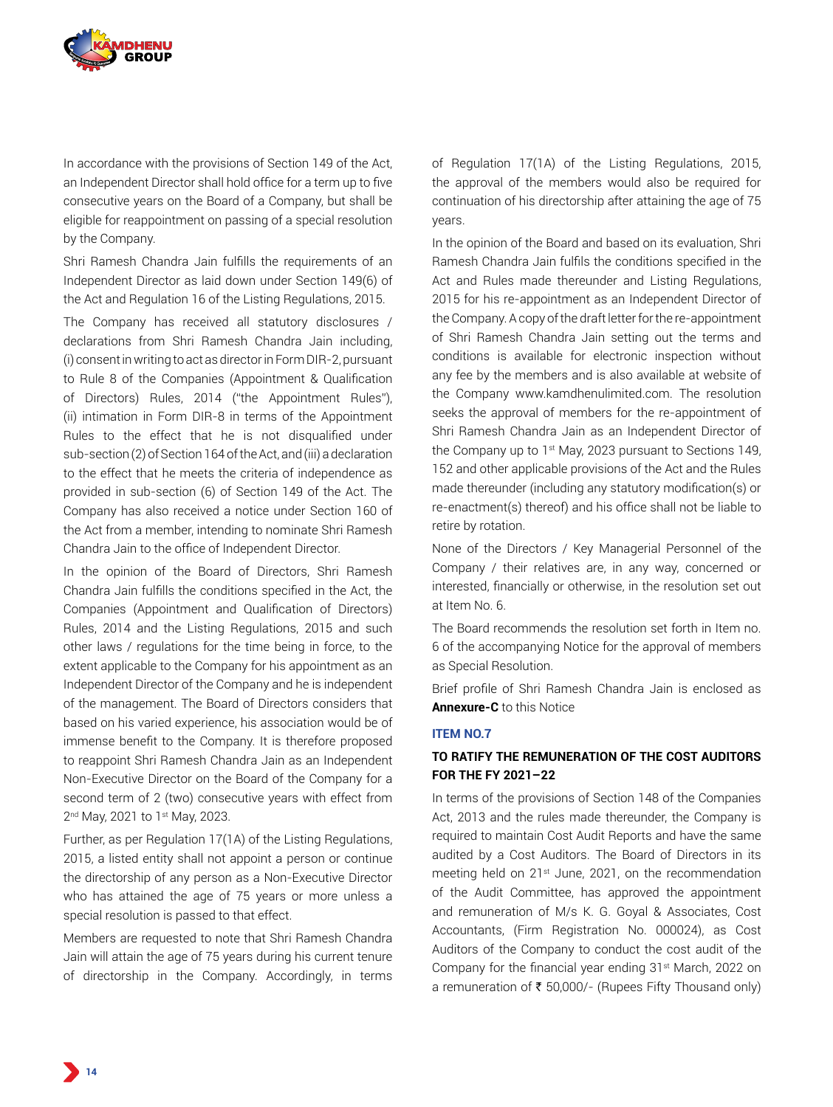

In accordance with the provisions of Section 149 of the Act, an Independent Director shall hold office for a term up to five consecutive years on the Board of a Company, but shall be eligible for reappointment on passing of a special resolution by the Company.

Shri Ramesh Chandra Jain fulfills the requirements of an Independent Director as laid down under Section 149(6) of the Act and Regulation 16 of the Listing Regulations, 2015.

The Company has received all statutory disclosures / declarations from Shri Ramesh Chandra Jain including, (i) consent in writing to act as director in Form DIR-2, pursuant to Rule 8 of the Companies (Appointment & Qualification of Directors) Rules, 2014 ("the Appointment Rules"), (ii) intimation in Form DIR-8 in terms of the Appointment Rules to the effect that he is not disqualified under sub-section (2) of Section 164 of the Act, and (iii) a declaration to the effect that he meets the criteria of independence as provided in sub-section (6) of Section 149 of the Act. The Company has also received a notice under Section 160 of the Act from a member, intending to nominate Shri Ramesh Chandra Jain to the office of Independent Director.

In the opinion of the Board of Directors, Shri Ramesh Chandra Jain fulfills the conditions specified in the Act, the Companies (Appointment and Qualification of Directors) Rules, 2014 and the Listing Regulations, 2015 and such other laws / regulations for the time being in force, to the extent applicable to the Company for his appointment as an Independent Director of the Company and he is independent of the management. The Board of Directors considers that based on his varied experience, his association would be of immense benefit to the Company. It is therefore proposed to reappoint Shri Ramesh Chandra Jain as an Independent Non-Executive Director on the Board of the Company for a second term of 2 (two) consecutive years with effect from 2<sup>nd</sup> May, 2021 to 1<sup>st</sup> May, 2023.

Further, as per Regulation 17(1A) of the Listing Regulations, 2015, a listed entity shall not appoint a person or continue the directorship of any person as a Non-Executive Director who has attained the age of 75 years or more unless a special resolution is passed to that effect.

Members are requested to note that Shri Ramesh Chandra Jain will attain the age of 75 years during his current tenure of directorship in the Company. Accordingly, in terms of Regulation 17(1A) of the Listing Regulations, 2015, the approval of the members would also be required for continuation of his directorship after attaining the age of 75 years.

In the opinion of the Board and based on its evaluation, Shri Ramesh Chandra Jain fulfils the conditions specified in the Act and Rules made thereunder and Listing Regulations, 2015 for his re-appointment as an Independent Director of the Company. A copy of the draft letter for the re-appointment of Shri Ramesh Chandra Jain setting out the terms and conditions is available for electronic inspection without any fee by the members and is also available at website of the Company www.kamdhenulimited.com. The resolution seeks the approval of members for the re-appointment of Shri Ramesh Chandra Jain as an Independent Director of the Company up to 1<sup>st</sup> May, 2023 pursuant to Sections 149, 152 and other applicable provisions of the Act and the Rules made thereunder (including any statutory modification(s) or re-enactment(s) thereof) and his office shall not be liable to retire by rotation.

None of the Directors / Key Managerial Personnel of the Company / their relatives are, in any way, concerned or interested, financially or otherwise, in the resolution set out at Item No. 6.

The Board recommends the resolution set forth in Item no. 6 of the accompanying Notice for the approval of members as Special Resolution.

Brief profile of Shri Ramesh Chandra Jain is enclosed as **Annexure-C** to this Notice

#### **ITEM NO.7**

#### **TO RATIFY THE REMUNERATION OF THE COST AUDITORS FOR THE FY 2021–22**

In terms of the provisions of Section 148 of the Companies Act, 2013 and the rules made thereunder, the Company is required to maintain Cost Audit Reports and have the same audited by a Cost Auditors. The Board of Directors in its meeting held on 21st June, 2021, on the recommendation of the Audit Committee, has approved the appointment and remuneration of M/s K. G. Goyal & Associates, Cost Accountants, (Firm Registration No. 000024), as Cost Auditors of the Company to conduct the cost audit of the Company for the financial year ending 31<sup>st</sup> March, 2022 on a remuneration of  $\bar{\tau}$  50,000/- (Rupees Fifty Thousand only)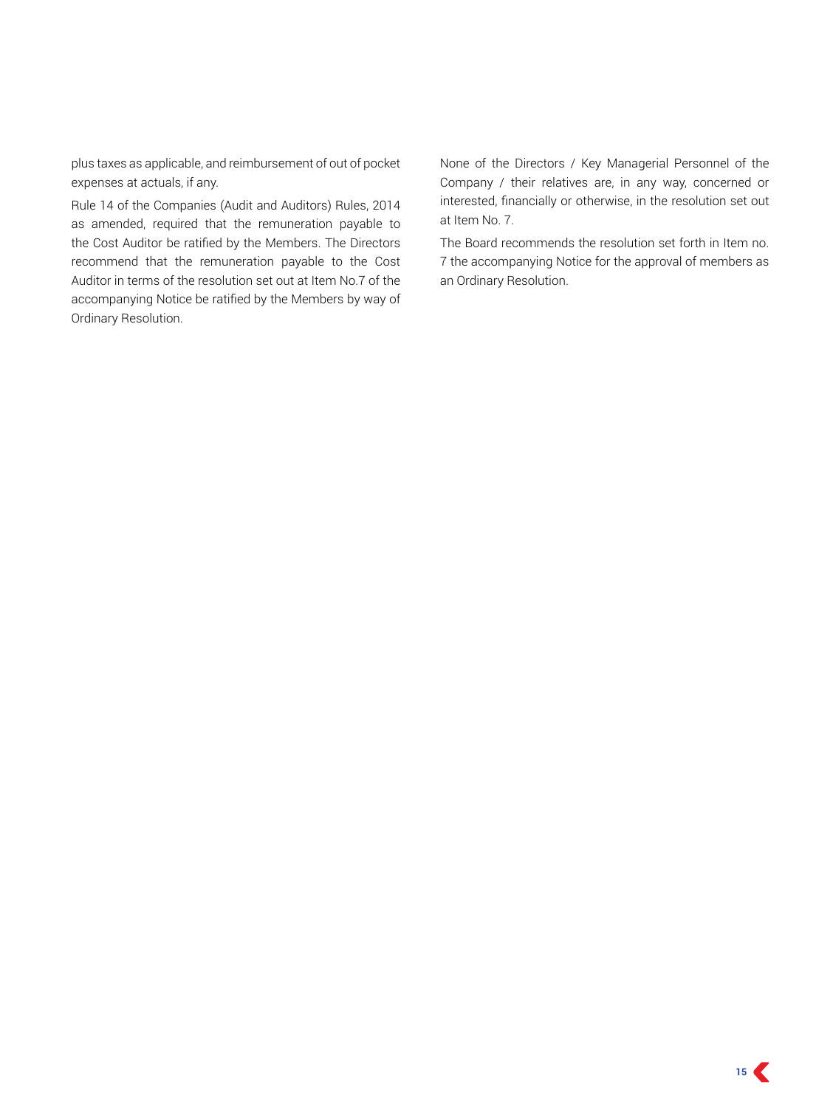plus taxes as applicable, and reimbursement of out of pocket expenses at actuals, if any.

Rule 14 of the Companies (Audit and Auditors) Rules, 2014 as amended, required that the remuneration payable to the Cost Auditor be ratified by the Members. The Directors recommend that the remuneration payable to the Cost Auditor in terms of the resolution set out at Item No.7 of the accompanying Notice be ratified by the Members by way of Ordinary Resolution.

None of the Directors / Key Managerial Personnel of the Company / their relatives are, in any way, concerned or interested, financially or otherwise, in the resolution set out at Item No. 7.

The Board recommends the resolution set forth in Item no. 7 the accompanying Notice for the approval of members as an Ordinary Resolution.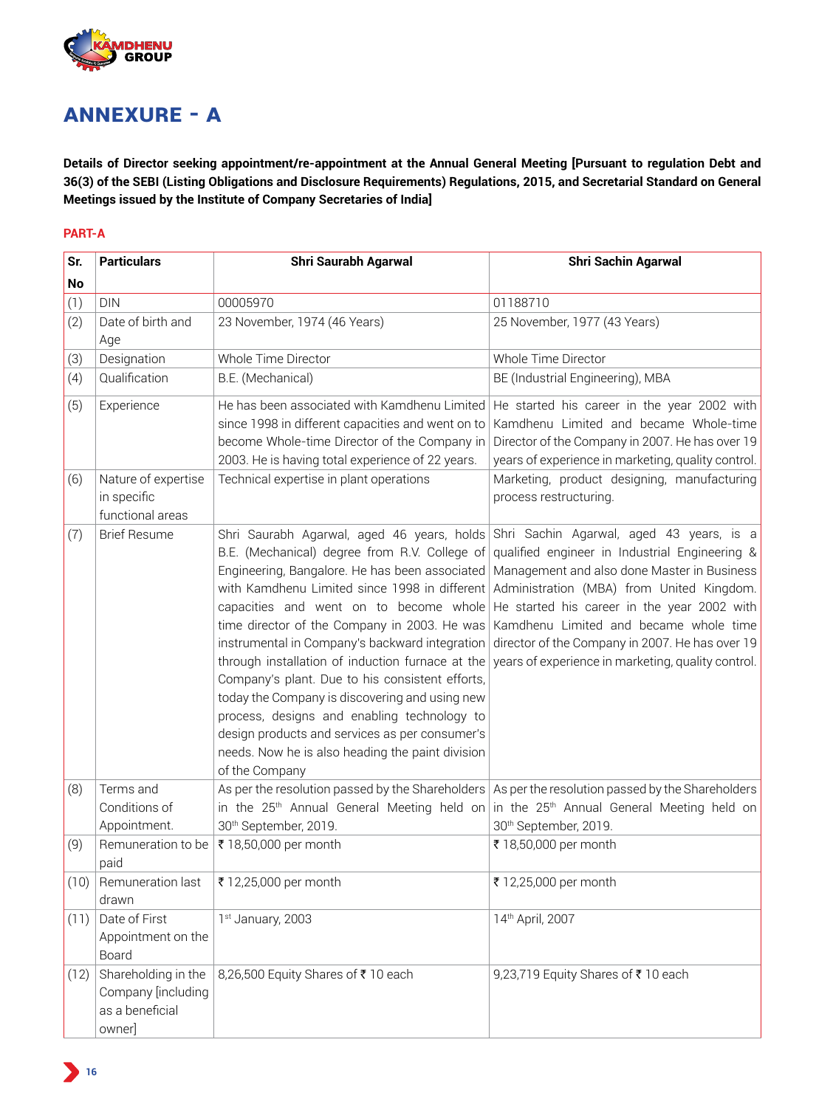

# **ANNEXURE - A**

**Details of Director seeking appointment/re-appointment at the Annual General Meeting [Pursuant to regulation Debt and 36(3) of the SEBI (Listing Obligations and Disclosure Requirements) Regulations, 2015, and Secretarial Standard on General Meetings issued by the Institute of Company Secretaries of India]**

#### **PART-A**

| Sr.  | <b>Particulars</b>                                                     | <b>Shri Saurabh Agarwal</b>                                                                                                                                                                                                                                                                                                                                                                                                                                                                                                                                                                                                                                                                                                                                                                                       | <b>Shri Sachin Agarwal</b>                                                                                                                                                                                                        |  |  |  |  |
|------|------------------------------------------------------------------------|-------------------------------------------------------------------------------------------------------------------------------------------------------------------------------------------------------------------------------------------------------------------------------------------------------------------------------------------------------------------------------------------------------------------------------------------------------------------------------------------------------------------------------------------------------------------------------------------------------------------------------------------------------------------------------------------------------------------------------------------------------------------------------------------------------------------|-----------------------------------------------------------------------------------------------------------------------------------------------------------------------------------------------------------------------------------|--|--|--|--|
| No   |                                                                        |                                                                                                                                                                                                                                                                                                                                                                                                                                                                                                                                                                                                                                                                                                                                                                                                                   |                                                                                                                                                                                                                                   |  |  |  |  |
| (1)  | <b>DIN</b>                                                             | 00005970                                                                                                                                                                                                                                                                                                                                                                                                                                                                                                                                                                                                                                                                                                                                                                                                          | 01188710                                                                                                                                                                                                                          |  |  |  |  |
| (2)  | Date of birth and<br>Age                                               | 23 November, 1974 (46 Years)                                                                                                                                                                                                                                                                                                                                                                                                                                                                                                                                                                                                                                                                                                                                                                                      | 25 November, 1977 (43 Years)                                                                                                                                                                                                      |  |  |  |  |
| (3)  | Designation                                                            | Whole Time Director                                                                                                                                                                                                                                                                                                                                                                                                                                                                                                                                                                                                                                                                                                                                                                                               | Whole Time Director                                                                                                                                                                                                               |  |  |  |  |
| (4)  | Qualification                                                          | B.E. (Mechanical)                                                                                                                                                                                                                                                                                                                                                                                                                                                                                                                                                                                                                                                                                                                                                                                                 | BE (Industrial Engineering), MBA                                                                                                                                                                                                  |  |  |  |  |
| (5)  | Experience                                                             | He has been associated with Kamdhenu Limited<br>since 1998 in different capacities and went on to<br>become Whole-time Director of the Company in<br>2003. He is having total experience of 22 years.                                                                                                                                                                                                                                                                                                                                                                                                                                                                                                                                                                                                             | He started his career in the year 2002 with<br>Kamdhenu Limited and became Whole-time<br>Director of the Company in 2007. He has over 19<br>years of experience in marketing, quality control.                                    |  |  |  |  |
| (6)  | Nature of expertise<br>in specific<br>functional areas                 | Technical expertise in plant operations                                                                                                                                                                                                                                                                                                                                                                                                                                                                                                                                                                                                                                                                                                                                                                           | Marketing, product designing, manufacturing<br>process restructuring.                                                                                                                                                             |  |  |  |  |
| (7)  | <b>Brief Resume</b>                                                    | Shri Saurabh Agarwal, aged 46 years, holds Shri Sachin Agarwal, aged 43 years, is a<br>B.E. (Mechanical) degree from R.V. College of qualified engineer in Industrial Engineering &<br>Engineering, Bangalore. He has been associated   Management and also done Master in Business<br>with Kamdhenu Limited since 1998 in different Administration (MBA) from United Kingdom.<br>time director of the Company in 2003. He was<br>through installation of induction furnace at the years of experience in marketing, quality control.<br>Company's plant. Due to his consistent efforts,<br>today the Company is discovering and using new<br>process, designs and enabling technology to<br>design products and services as per consumer's<br>needs. Now he is also heading the paint division<br>of the Company | capacities and went on to become whole $ He$ started his career in the year 2002 with<br>Kamdhenu Limited and became whole time<br>instrumental in Company's backward integration director of the Company in 2007. He has over 19 |  |  |  |  |
| (8)  | Terms and<br>Conditions of                                             |                                                                                                                                                                                                                                                                                                                                                                                                                                                                                                                                                                                                                                                                                                                                                                                                                   | As per the resolution passed by the Shareholders $ $ As per the resolution passed by the Shareholders<br>in the 25 <sup>th</sup> Annual General Meeting held on in the 25 <sup>th</sup> Annual General Meeting held on            |  |  |  |  |
|      | Appointment.                                                           | 30th September, 2019.                                                                                                                                                                                                                                                                                                                                                                                                                                                                                                                                                                                                                                                                                                                                                                                             | 30th September, 2019.                                                                                                                                                                                                             |  |  |  |  |
| (9)  | Remuneration to be<br>paid                                             | ₹ 18,50,000 per month                                                                                                                                                                                                                                                                                                                                                                                                                                                                                                                                                                                                                                                                                                                                                                                             | ₹ 18,50,000 per month                                                                                                                                                                                                             |  |  |  |  |
| (10) | Remuneration last<br>drawn                                             | ₹ 12,25,000 per month                                                                                                                                                                                                                                                                                                                                                                                                                                                                                                                                                                                                                                                                                                                                                                                             | ₹ 12,25,000 per month                                                                                                                                                                                                             |  |  |  |  |
| (11) | Date of First<br>Appointment on the<br>Board                           | 1 <sup>st</sup> January, 2003                                                                                                                                                                                                                                                                                                                                                                                                                                                                                                                                                                                                                                                                                                                                                                                     | 14th April, 2007                                                                                                                                                                                                                  |  |  |  |  |
| (12) | Shareholding in the<br>Company [including<br>as a beneficial<br>owner] | 8,26,500 Equity Shares of ₹10 each                                                                                                                                                                                                                                                                                                                                                                                                                                                                                                                                                                                                                                                                                                                                                                                | 9,23,719 Equity Shares of ₹10 each                                                                                                                                                                                                |  |  |  |  |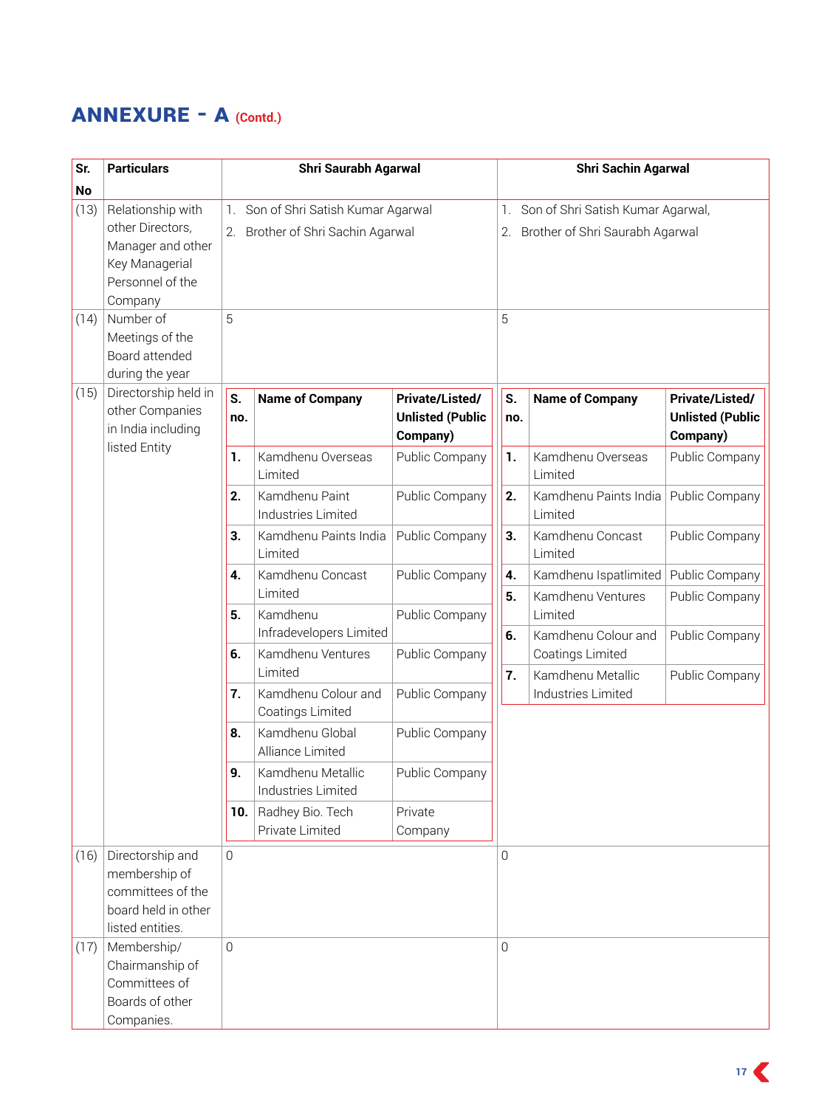# **ANNEXURE - A (Contd.)**

| Sr.  | <b>Particulars</b>                                                               | <b>Shri Saurabh Agarwal</b> |                                      |                         |    |                                       | <b>Shri Sachin Agarwal</b>            |                         |  |  |  |  |
|------|----------------------------------------------------------------------------------|-----------------------------|--------------------------------------|-------------------------|----|---------------------------------------|---------------------------------------|-------------------------|--|--|--|--|
| No   |                                                                                  |                             |                                      |                         |    |                                       |                                       |                         |  |  |  |  |
| (13) | Relationship with                                                                | $1_{\cdot}$                 | Son of Shri Satish Kumar Agarwal     |                         |    | 1. Son of Shri Satish Kumar Agarwal,  |                                       |                         |  |  |  |  |
|      | other Directors,                                                                 |                             | 2. Brother of Shri Sachin Agarwal    |                         |    | Brother of Shri Saurabh Agarwal<br>2. |                                       |                         |  |  |  |  |
|      | Manager and other                                                                |                             |                                      |                         |    |                                       |                                       |                         |  |  |  |  |
|      | Key Managerial                                                                   |                             |                                      |                         |    |                                       |                                       |                         |  |  |  |  |
|      | Personnel of the                                                                 |                             |                                      |                         |    |                                       |                                       |                         |  |  |  |  |
|      | Company<br>Number of                                                             | 5                           |                                      |                         |    | 5                                     |                                       |                         |  |  |  |  |
| (14) | Meetings of the                                                                  |                             |                                      |                         |    |                                       |                                       |                         |  |  |  |  |
|      | Board attended                                                                   |                             |                                      |                         |    |                                       |                                       |                         |  |  |  |  |
|      | during the year                                                                  |                             |                                      |                         |    |                                       |                                       |                         |  |  |  |  |
| (15) | Directorship held in                                                             | S.                          |                                      | Private/Listed/         |    | S.                                    |                                       | Private/Listed/         |  |  |  |  |
|      | other Companies                                                                  | no.                         | <b>Name of Company</b>               | <b>Unlisted (Public</b> |    | no.                                   | <b>Name of Company</b>                | <b>Unlisted (Public</b> |  |  |  |  |
|      | in India including                                                               |                             |                                      | Company)                |    |                                       |                                       | Company)                |  |  |  |  |
|      | listed Entity                                                                    | 1.                          | Kamdhenu Overseas                    | Public Company          |    | 1.                                    | Kamdhenu Overseas                     | Public Company          |  |  |  |  |
|      |                                                                                  |                             | Limited                              |                         |    |                                       | Limited                               |                         |  |  |  |  |
|      |                                                                                  | 2.                          | Kamdhenu Paint<br>Industries Limited | Public Company          |    | 2.                                    | Kamdhenu Paints India<br>Limited      | Public Company          |  |  |  |  |
|      |                                                                                  |                             | Kamdhenu Paints India<br>Limited     | Public Company          |    | 3.                                    | Kamdhenu Concast<br>Limited           | Public Company          |  |  |  |  |
|      |                                                                                  | 4.                          | Kamdhenu Concast                     | Public Company          | 4. |                                       | Kamdhenu Ispatlimited                 | Public Company          |  |  |  |  |
|      |                                                                                  |                             | Limited                              |                         |    | 5.                                    | Kamdhenu Ventures                     | Public Company          |  |  |  |  |
|      |                                                                                  | 5.                          | Kamdhenu<br>Infradevelopers Limited  | Public Company          |    | 6.                                    | Limited<br>Kamdhenu Colour and        | Public Company          |  |  |  |  |
|      |                                                                                  | 6.                          | Kamdhenu Ventures<br>Limited         | Public Company          |    |                                       | Coatings Limited<br>Kamdhenu Metallic |                         |  |  |  |  |
|      |                                                                                  | 7.                          | Kamdhenu Colour and                  | Public Company          |    | 7.                                    | Industries Limited                    | Public Company          |  |  |  |  |
|      |                                                                                  |                             | Coatings Limited                     |                         |    |                                       |                                       |                         |  |  |  |  |
|      |                                                                                  | 8.                          | Kamdhenu Global<br>Alliance Limited  | Public Company          |    |                                       |                                       |                         |  |  |  |  |
|      |                                                                                  | 9.                          | Kamdhenu Metallic                    | Public Company          |    |                                       |                                       |                         |  |  |  |  |
|      |                                                                                  |                             | Industries Limited                   |                         |    |                                       |                                       |                         |  |  |  |  |
|      |                                                                                  | 10.                         | Radhey Bio. Tech                     | Private                 |    |                                       |                                       |                         |  |  |  |  |
|      |                                                                                  |                             | Private Limited                      | Company                 |    |                                       |                                       |                         |  |  |  |  |
| (16) | Directorship and<br>membership of<br>committees of the<br>board held in other    | $\overline{0}$              |                                      |                         |    | $\Omega$                              |                                       |                         |  |  |  |  |
|      | listed entities.                                                                 |                             |                                      |                         |    |                                       |                                       |                         |  |  |  |  |
| (17) | Membership/<br>Chairmanship of<br>Committees of<br>Boards of other<br>Companies. | $\overline{0}$              |                                      |                         |    | $\Omega$                              |                                       |                         |  |  |  |  |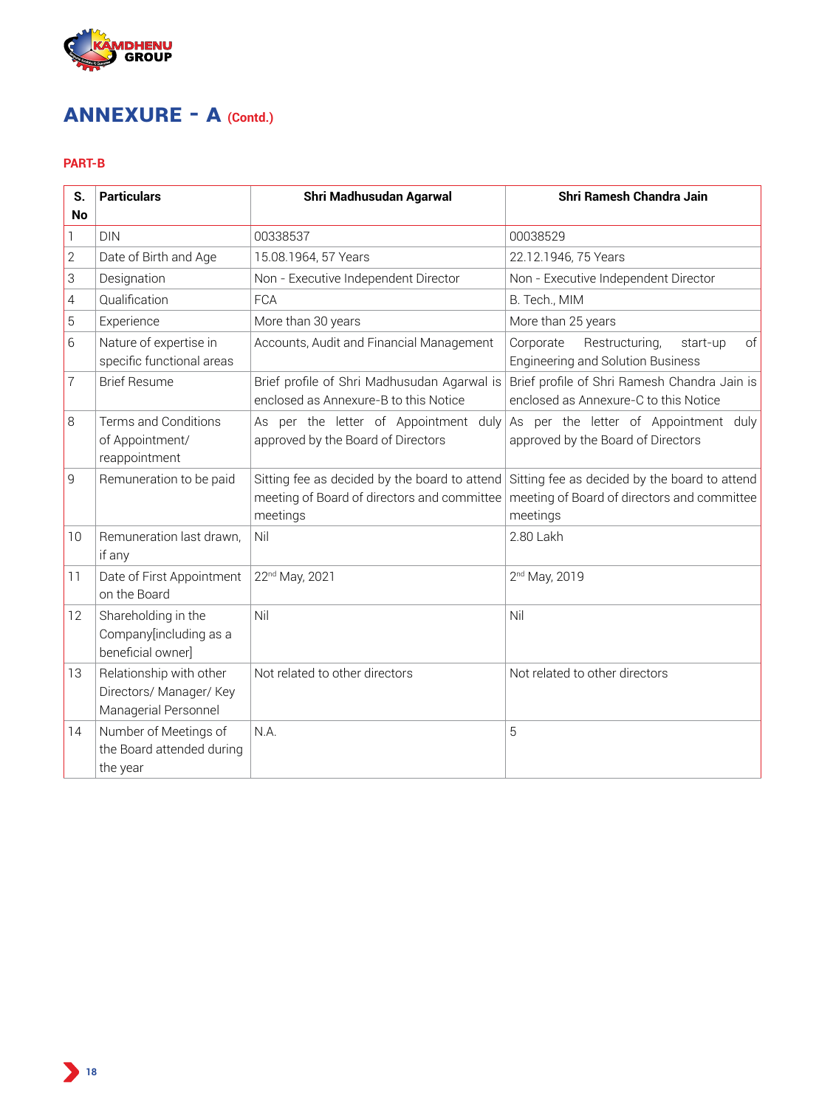

# **ANNEXURE - A (Contd.)**

# **PART-B**

| S.<br>No       | <b>Particulars</b>                                                         | Shri Madhusudan Agarwal                                                              | Shri Ramesh Chandra Jain                                                                                                                               |  |  |  |
|----------------|----------------------------------------------------------------------------|--------------------------------------------------------------------------------------|--------------------------------------------------------------------------------------------------------------------------------------------------------|--|--|--|
| 1              | <b>DIN</b>                                                                 | 00338537                                                                             | 00038529                                                                                                                                               |  |  |  |
| $\overline{2}$ | Date of Birth and Age                                                      | 15.08.1964, 57 Years                                                                 | 22.12.1946, 75 Years                                                                                                                                   |  |  |  |
| 3              | Designation                                                                | Non - Executive Independent Director                                                 | Non - Executive Independent Director                                                                                                                   |  |  |  |
| 4              | Qualification                                                              | <b>FCA</b>                                                                           | B. Tech., MIM                                                                                                                                          |  |  |  |
| 5              | Experience                                                                 | More than 30 years                                                                   | More than 25 years                                                                                                                                     |  |  |  |
| 6              | Nature of expertise in<br>specific functional areas                        | Accounts, Audit and Financial Management                                             | Corporate<br>Restructuring,<br>of<br>start-up<br><b>Engineering and Solution Business</b>                                                              |  |  |  |
| 7              | <b>Brief Resume</b>                                                        | Brief profile of Shri Madhusudan Agarwal is<br>enclosed as Annexure-B to this Notice | Brief profile of Shri Ramesh Chandra Jain is<br>enclosed as Annexure-C to this Notice                                                                  |  |  |  |
| 8              | Terms and Conditions<br>of Appointment/<br>reappointment                   | As per the letter of Appointment duly<br>approved by the Board of Directors          | As per the letter of Appointment duly<br>approved by the Board of Directors                                                                            |  |  |  |
| 9              | Remuneration to be paid                                                    | meeting of Board of directors and committee<br>meetings                              | Sitting fee as decided by the board to attend Sitting fee as decided by the board to attend<br>meeting of Board of directors and committee<br>meetings |  |  |  |
| 10             | Remuneration last drawn,<br>if any                                         | Nil                                                                                  | 2.80 Lakh                                                                                                                                              |  |  |  |
| 11             | Date of First Appointment<br>on the Board                                  | 22 <sup>nd</sup> May, 2021                                                           | 2 <sup>nd</sup> May, 2019                                                                                                                              |  |  |  |
| 12             | Shareholding in the<br>Company[including as a<br>beneficial owner]         | Nil                                                                                  | Nil                                                                                                                                                    |  |  |  |
| 13             | Relationship with other<br>Directors/ Manager/ Key<br>Managerial Personnel | Not related to other directors                                                       | Not related to other directors                                                                                                                         |  |  |  |
| 14             | Number of Meetings of<br>the Board attended during<br>the year             | N.A.                                                                                 | 5                                                                                                                                                      |  |  |  |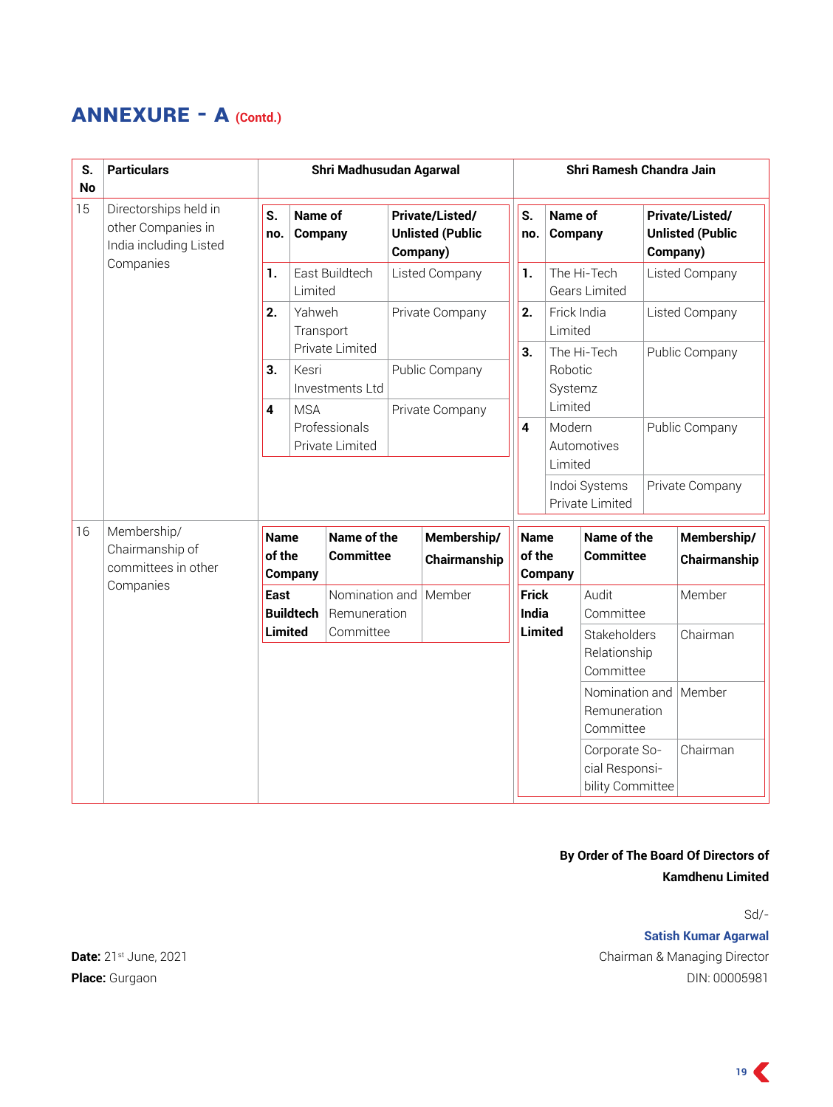# **ANNEXURE - A (Contd.)**

| S.<br><b>No</b> | <b>Particulars</b>                                                    | Shri Madhusudan Agarwal                |                     |                                    |                                                               |                             |           | Shri Ramesh Chandra Jain                         |                                             |                                                               |                 |                             |  |
|-----------------|-----------------------------------------------------------------------|----------------------------------------|---------------------|------------------------------------|---------------------------------------------------------------|-----------------------------|-----------|--------------------------------------------------|---------------------------------------------|---------------------------------------------------------------|-----------------|-----------------------------|--|
| 15              | Directorships held in<br>other Companies in<br>India including Listed | S.<br><b>Name of</b><br>Company<br>no. |                     |                                    | <b>Private/Listed/</b><br><b>Unlisted (Public</b><br>Company) |                             | S.<br>no. | Name of<br>Company                               |                                             | <b>Private/Listed/</b><br><b>Unlisted (Public</b><br>Company) |                 |                             |  |
|                 | Companies                                                             | 1.                                     | Limited             | East Buildtech                     |                                                               | Listed Company              |           | 1.                                               | The Hi-Tech<br><b>Gears Limited</b>         |                                                               | Listed Company  |                             |  |
|                 |                                                                       | 2.                                     | Yahweh<br>Transport |                                    | Private Company                                               |                             |           | 2.                                               | Frick India<br>Limited                      |                                                               | Listed Company  |                             |  |
|                 |                                                                       | 3.                                     | Kesri               | Private Limited<br>Investments Ltd |                                                               | Public Company              |           | 3.<br>Robotic<br>Systemz                         |                                             | The Hi-Tech                                                   | Public Company  |                             |  |
|                 |                                                                       | $\overline{\mathbf{4}}$                | <b>MSA</b>          | Professionals<br>Private Limited   | Private Company                                               |                             |           | $\overline{\mathbf{4}}$                          | Limited<br>Modern<br>Automotives<br>Limited |                                                               | Public Company  |                             |  |
|                 |                                                                       |                                        |                     |                                    |                                                               |                             |           |                                                  | Indoi Systems<br>Private Limited            |                                                               | Private Company |                             |  |
| 16              | Membership/<br>Chairmanship of<br>committees in other                 | <b>Name</b><br>of the                  | Company             | Name of the<br><b>Committee</b>    |                                                               | Membership/<br>Chairmanship |           | <b>Name</b><br>of the                            | Company                                     | Name of the<br><b>Committee</b>                               |                 | Membership/<br>Chairmanship |  |
|                 | Companies                                                             | <b>East</b>                            | <b>Buildtech</b>    | Nomination and<br>Remuneration     |                                                               | Member                      |           | <b>Frick</b><br><b>India</b>                     | Audit<br>Committee                          |                                                               |                 | Member                      |  |
|                 |                                                                       | <b>Limited</b><br>Committee            |                     |                                    |                                                               | <b>Limited</b>              |           | <b>Stakeholders</b><br>Relationship<br>Committee |                                             | Chairman                                                      |                 |                             |  |
|                 |                                                                       |                                        |                     |                                    |                                                               |                             |           |                                                  |                                             | Nomination and<br>Remuneration<br>Committee                   |                 | Member                      |  |
|                 |                                                                       |                                        |                     |                                    |                                                               |                             |           |                                                  |                                             | Corporate So-<br>cial Responsi-<br>bility Committee           |                 | Chairman                    |  |

# **By Order of The Board Of Directors of Kamdhenu Limited**

Sd/-

**Satish Kumar Agarwal Date:** 21st June, 2021 Chairman & Managing Director **Place:** Gurgaon DIN: 00005981